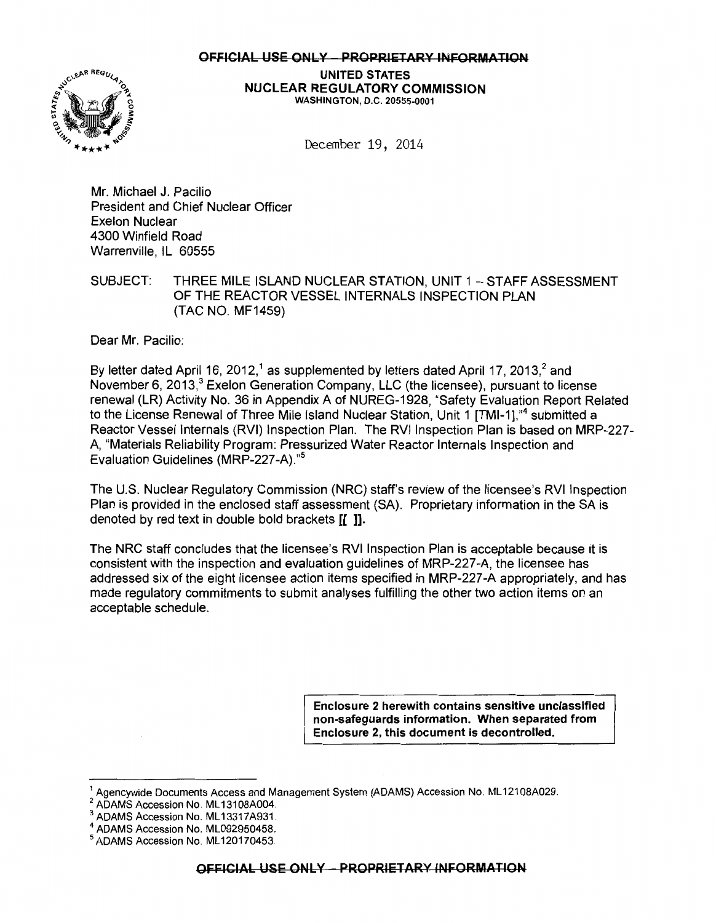

UNITED STATES NUCLEAR REGULATORY COMMISSION WASHINGTON, D.C. 20555-0001

December 19, 2014

Mr. Michael J. Pacilio President and Chief Nuclear Officer Exelon Nuclear 4300 Winfield Road Warrenville, IL 60555

SUBJECT: THREE MILE ISLAND NUCLEAR STATION, UNIT 1 - STAFF ASSESSMENT OF THE REACTOR VESSEL INTERNALS INSPECTION PLAN (TAC NO. MF1459)

Dear Mr. Pacilio:

By letter dated April 16, 2012,<sup>1</sup> as supplemented by letters dated April 17, 2013,<sup>2</sup> and November 6, 2013,<sup>3</sup> Exelon Generation Company, LLC (the licensee), pursuant to license renewal (LR) Activity No. 36 in Appendix A of NUREG-1928, "Safety Evaluation Report Related to the License Renewal of Three Mile Island Nuclear Station, Unit 1 [TMI-1],"<sup>4</sup> submitted a Reactor Vessel Internals (RVI) Inspection Plan. The RVI Inspection Plan is based on MRP-227-A, "Materials Reliability Program: Pressurized Water Reactor Internals Inspection and Evaluation Guidelines (MRP-227-A)."<sup>5</sup>

The U.S. Nuclear Regulatory Commission (NRC) staff's review of the licensee's RVI Inspection Plan is provided in the enclosed staff assessment (SA). Proprietary information in the SA is denoted by red text in double bold brackets [[ ]].

The NRC staff concludes that the licensee's RVI Inspection Plan is acceptable because it is consistent with the inspection and evaluation guidelines of MRP-227 -A, the licensee has addressed six of the eight licensee action items specified in MRP-227 -A appropriately, and has made regulatory commitments to submit analyses fulfilling the other two action items on an acceptable schedule.

> Enclosure 2 herewith contains sensitive unclassified non-safeguards information. When separated from Enclosure 2, this document is decontrolled.

<sup>&</sup>lt;sup>1</sup> Agencywide Documents Access and Management System (ADAMS) Accession No. ML12108A029.<br><sup>2</sup> ADAMS Accession No. ML13108A004.<br><sup>3</sup> ADAMS Accession No. ML13317A931.<br><sup>4</sup> ADAMS Accession No. ML092950458.<br><sup>5</sup> ADAMS Accession No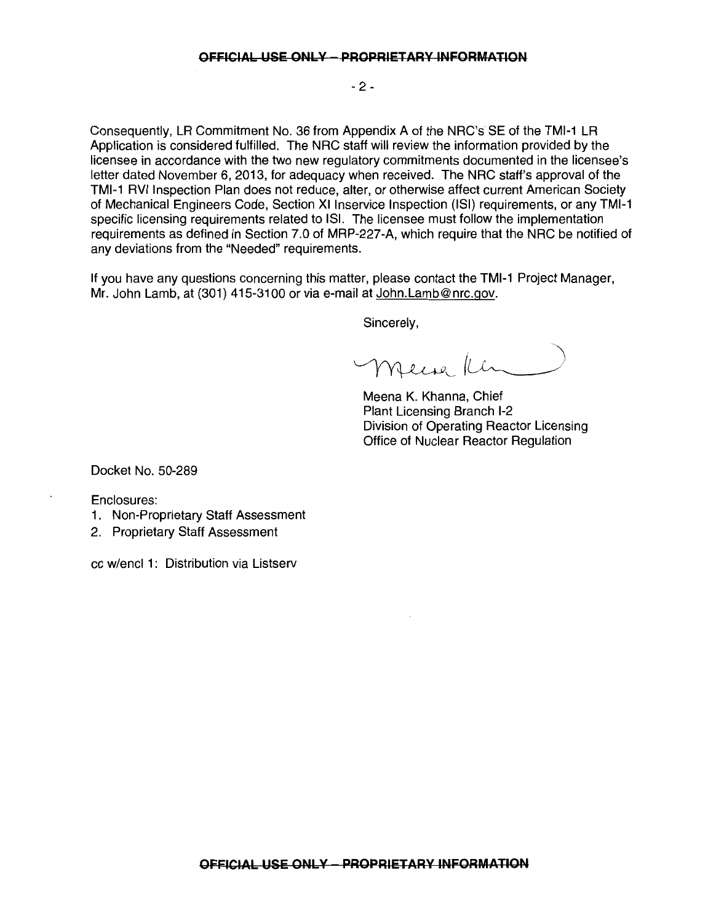- 2 -

Consequently, LR Commitment No. 36 from Appendix A of the NRC's SE of the TMI-1 LR Application is considered fulfilled. The NRC staff will review the information provided by the licensee in accordance with the two new regulatory commitments documented in the licensee's letter dated November 6, 2013, for adequacy when received. The NRC staff's approval of the TMI-1 RVI Inspection Plan does not reduce, alter, or otherwise affect current American Society of Mechanical Engineers Code, Section XI Inservice Inspection (ISI) requirements, or any TMI-1 specific licensing requirements related to lSI. The licensee must follow the implementation requirements as defined in Section 7.0 of MRP-227-A, which require that the NRC be notified of any deviations from the "Needed" requirements.

If you have any questions concerning this matter, please contact the TMI-1 Project Manager, Mr. John Lamb, at (301) 415-3100 or via e-mail at John.Lamb@nrc.gov.

Sincerely,

necesa Ken

Meena K. Khanna, Chief Plant Licensing Branch 1-2 Division of Operating Reactor Licensing Office of Nuclear Reactor Regulation

Docket No. 50-289

Enclosures:

- 1. Non-Proprietary Staff Assessment
- 2. Proprietary Staff Assessment

cc w/encl 1: Distribution via Listserv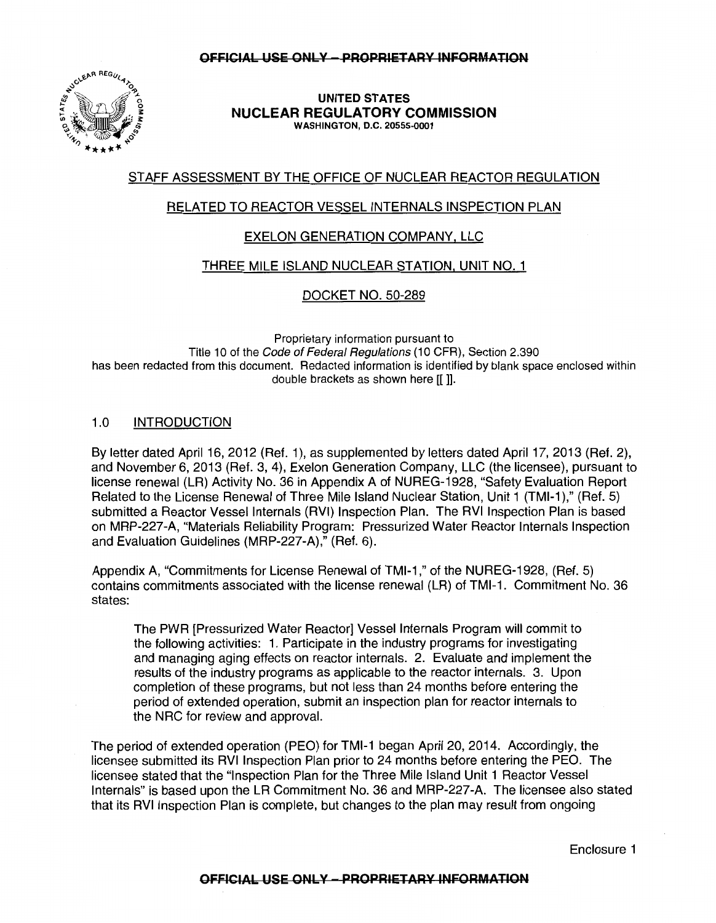

**UNITED STATES NUCLEAR REGULATORY COMMISSION**  WASHINGTON, D.C. 20555-0001

# STAFF ASSESSMENT BY THE OFFICE OF NUCLEAR REACTOR REGULATION

# RELATED TO REACTOR VESSEL INTERNALS INSPECTION PLAN

## EXELON GENERATION COMPANY, LLC

## THREE MILE ISLAND NUCLEAR STATION, UNIT NO. 1

DOCKET NO. 50-289

Proprietary information pursuant to Title 10 of the Code of Federal Regulations (10 CFR), Section 2.390 has been redacted from this document. Redacted information is identified by blank space enclosed within double brackets as shown here [[ ]].

## 1.0 INTRODUCTION

By letter dated April 16, 2012 (Ref. 1), as supplemented by letters dated April 17, 2013 (Ref. 2), and November 6, 2013 (Ref. 3, 4), Exelon Generation Company, LLC {the licensee), pursuant to license renewal (LR) Activity No. 36 in Appendix A of NUREG-1928, "Safety Evaluation Report Related to the License Renewal of Three Mile Island Nuclear Station, Unit 1 {TMI-1 )," (Ref. 5) submitted a Reactor Vessel Internals (RVI) Inspection Plan. The RVI Inspection Plan is based on MRP-227-A, "Materials Reliability Program: Pressurized Water Reactor Internals Inspection and Evaluation Guidelines (MRP-227-A)," (Ref. 6).

Appendix A, "Commitments for License Renewal of TMI-1," of the NUREG-1928, (Ref. 5) contains commitments associated with the license renewal (LR) of TMI-1. Commitment No. 36 states:

The PWR [Pressurized Water Reactor] Vessel Internals Program will commit to the following activities: 1. Participate in the industry programs for investigating and managing aging effects on reactor internals. 2. Evaluate and implement the results of the industry programs as applicable to the reactor internals. 3. Upon completion of these programs, but not less than 24 months before entering the period of extended operation, submit an inspection plan for reactor internals to the NRC for review and approval.

The period of extended operation (PEO) for TMI-1 began April20, 2014. Accordingly, the licensee submitted its RVI Inspection Plan prior to 24 months before entering the PEO. The licensee stated that the "Inspection Plan for the Three Mile Island Unit 1 Reactor Vessel Internals" is based upon the LR Commitment No. 36 and MRP-227-A. The licensee also stated that its RVI Inspection Plan is complete, but changes to the plan may result from ongoing

Enclosure 1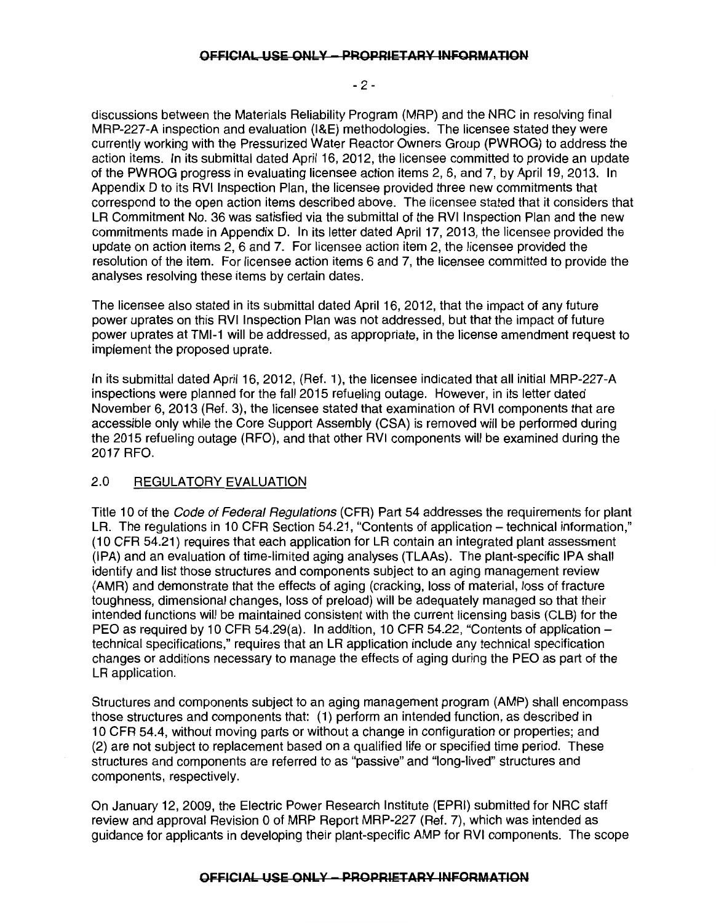- 2-

discussions between the Materials Reliability Program (MRP) and the NRC in resolving final MRP-227-A inspection and evaluation (I&E) methodologies. The licensee stated they were currently working with the Pressurized Water Reactor Owners Group (PWROG) to address the action items. In its submittal dated April 16, 2012, the licensee committed to provide an update of the PWROG progress in evaluating licensee action items 2, 6, and 7, by April 19, 2013. In Appendix D to its RVI Inspection Plan, the licensee provided three new commitments that correspond to the open action items described above. The licensee stated that it considers that LR Commitment No. 36 was satisfied via the submittal of the RVI Inspection Plan and the new commitments made in Appendix D. In its letter dated April 17, 2013, the licensee provided the update on action items 2, 6 and 7. For licensee action item 2, the licensee provided the resolution of the item. For licensee action items 6 and 7, the licensee committed to provide the analyses resolving these items by certain dates.

The licensee also stated in its submittal dated April 16, 2012, that the impact of any future power uprates on this RVI Inspection Plan was not addressed, but that the impact of future power uprates at TMI-1 will be addressed, as appropriate, in the license amendment request to implement the proposed uprate.

In its submittal dated April 16, 2012, (Ref. 1), the licensee indicated that all initial MRP-227-A inspections were planned for the fall 2015 refueling outage. However, in its letter dated November 6, 2013 (Ref. 3), the licensee stated that examination of RVI components that are accessible only while the Core Support Assembly (CSA) is removed will be performed during the 2015 refueling outage (RFO), and that other RVI components will be examined during the 2017 RFO.

# 2.0 REGULATORY EVALUATION

Title 10 of the Code of Federal Regulations (CFR) Part 54 addresses the requirements for plant LR. The regulations in 10 CFR Section 54.21, "Contents of application – technical information," (1 0 CFR 54.21) requires that each application for LR contain an integrated plant assessment (IPA) and an evaluation of time-limited aging analyses (TLAAs). The plant-specific IPA shall identify and list those structures and components subject to an aging management review (AMR) and demonstrate that the effects of aging (cracking, loss of material, loss of fracture toughness, dimensional changes, loss of preload) will be adequately managed so that their intended functions will be maintained consistent with the current licensing basis (CLB) for the PEO as required by 10 CFR 54.29(a). In addition, 10 CFR 54.22, "Contents of application technical specifications," requires that an LR application include any technical specification changes or additions necessary to manage the effects of aging during the PEO as part of the LR application.

Structures and components subject to an aging management program (AMP) shall encompass those structures and components that: (1) perform an intended function, as described in 1 0 CFR 54.4, without moving parts or without a change in configuration or properties; and (2) are not subject to replacement based on a qualified life or specified time period. These structures and components are referred to as "passive" and "long-lived" structures and components, respectively.

On January 12, 2009, the Electric Power Research Institute (EPRI) submitted for NRC staff review and approval Revision 0 of MRP Report MRP-227 (Ref. 7), which was intended as guidance for applicants in developing their plant-specific AMP for RVI components. The scope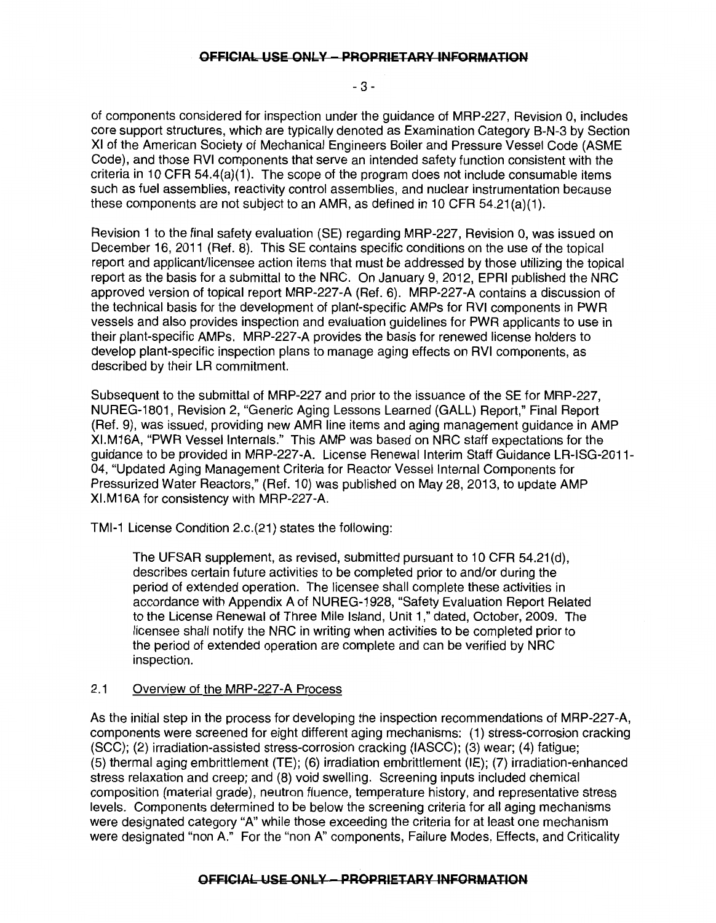### - 3 -

of components considered for inspection under the guidance of MRP-227, Revision 0, includes core support structures, which are typically denoted as Examination Category B-N-3 by Section XI of the American Society of Mechanical Engineers Boiler and Pressure Vessel Code (ASME Code), and those RVI components that serve an intended safety function consistent with the criteria in 10 CFR 54.4(a)(1 ). The scope of the program does not include consumable items such as fuel assemblies, reactivity control assemblies, and nuclear instrumentation because these components are not subject to an AMR, as defined in 10 CFR 54.21(a)(1).

Revision 1 to the final safety evaluation (SE) regarding MRP-227, Revision 0, was issued on December 16, 2011 (Ref. 8). This SE contains specific conditions on the use of the topical report and applicant/licensee action items that must be addressed by those utilizing the topical report as the basis for a submittal to the NRC. On January 9, 2012, EPRI published the NRC approved version of topical report MRP-227-A (Ref. 6). MRP-227-A contains a discussion of the technical basis for the development of plant-specific AMPs for RVI components in PWR vessels and also provides inspection and evaluation guidelines for PWR applicants to use in their plant-specific AMPs. MRP-227-A provides the basis for renewed license holders to develop plant-specific inspection plans to manage aging effects on RVI components, as described by their LR commitment.

Subsequent to the submittal of MRP-227 and prior to the issuance of the SE for MRP-227, NUREG-1801, Revision 2, "Generic Aging Lessons Learned (GALL) Report," Final Report (Ref. 9), was issued, providing new AMR line items and aging management guidance in AMP XI.M16A, "PWR Vessel Internals." This AMP was based on NRC staff expectations for the guidance to be provided in MRP-227-A. License Renewal Interim Staff Guidance LR-ISG-2011- 04, "Updated Aging Management Criteria for Reactor Vessel Internal Components for Pressurized Water Reactors," (Ref. 10) was published on May 28, 2013, to update AMP XI.M16A for consistency with MRP-227-A.

TMI-1 License Condition 2.c.(21) states the following:

The UFSAR supplement, as revised, submitted pursuant to 10 CFR 54.21 (d), describes certain future activities to be completed prior to and/or during the period of extended operation. The licensee shall complete these activities in accordance with Appendix A of NUREG-1928, "Safety Evaluation Report Related to the License Renewal of Three Mile Island, Unit 1 ," dated, October, 2009. The licensee shall notify the NRC in writing when activities to be completed prior to the period of extended operation are complete and can be verified by NRC inspection.

# 2.1 Overview of the MRP-227-A Process

As the initial step in the process for developing the inspection recommendations of MRP-227-A, components were screened for eight different aging mechanisms: ( 1) stress-corrosion cracking (SCC); (2) irradiation-assisted stress-corrosion cracking (IASCC); (3) wear; (4) fatigue; (5) thermal aging embrittlement (TE); (6) irradiation embrittlement (IE); (7) irradiation-enhanced stress relaxation and creep; and (8) void swelling. Screening inputs included chemical composition (material grade), neutron fluence, temperature history, and representative stress levels. Components determined to be below the screening criteria for all aging mechanisms were designated category "A" while those exceeding the criteria for at least one mechanism were designated "non A." For the "non A" components, Failure Modes, Effects, and Criticality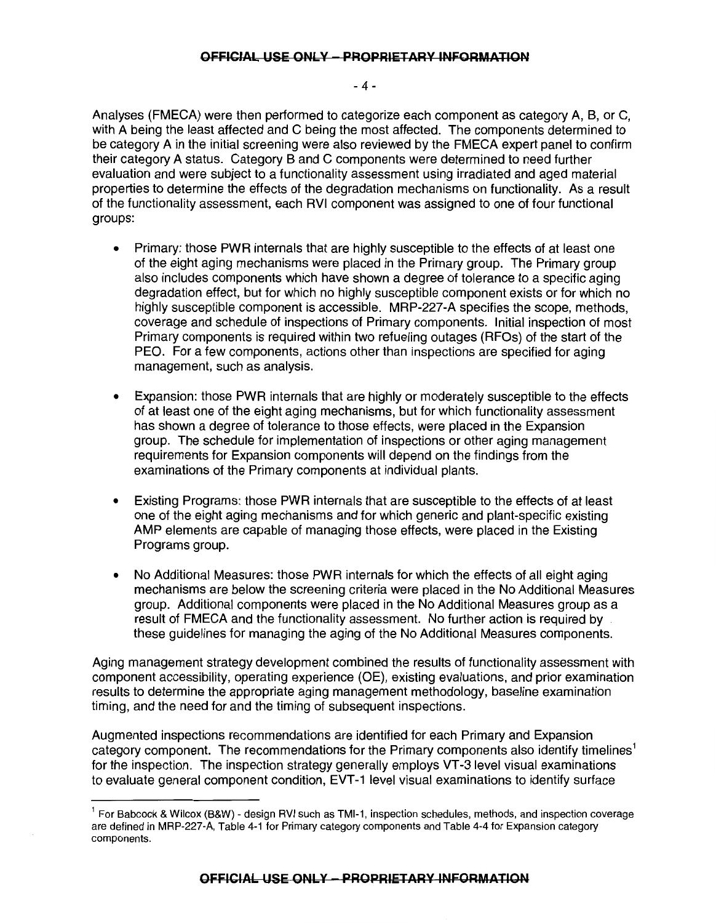#### - 4 -

Analyses (FMECA) were then performed to categorize each component as category A, B, or C, with A being the least affected and C being the most affected. The components determined to be category A in the initial screening were also reviewed by the FMECA expert panel to confirm their category A status. Category B and C components were determined to need further evaluation and were subject to a functionality assessment using irradiated and aged material properties to determine the effects of the degradation mechanisms on functionality. As a result of the functionality assessment, each RVI component was assigned to one of four functional groups:

- Primary: those PWR internals that are highly susceptible to the effects of at least one of the eight aging mechanisms were placed in the Primary group. The Primary group also includes components which have shown a degree of tolerance to a specific aging degradation effect, but for which no highly susceptible component exists or for which no highly susceptible component is accessible. MRP-227-A specifies the scope, methods, coverage and schedule of inspections of Primary components. Initial inspection of most Primary components is required within two refueling outages (RFOs) of the start of the PEO. For a few components, actions other than inspections are specified for aging management, such as analysis.
- Expansion: those PWR internals that are highly or moderately susceptible to the effects of at least one of the eight aging mechanisms, but for which functionality assessment has shown a degree of tolerance to those effects, were placed in the Expansion group. The schedule for implementation of inspections or other aging management requirements for Expansion components will depend on the findings from the examinations of the Primary components at individual plants.
- Existing Programs: those PWR internals that are susceptible to the effects of at least one of the eight aging mechanisms and for which generic and plant-specific existing AMP elements are capable of managing those effects, were placed in the Existing Programs group.
- No Additional Measures: those PWR internals for which the effects of all eight aging mechanisms are below the screening criteria were placed in the No Additional Measures group. Additional components were placed in the No Additional Measures group as a result of FMECA and the functionality assessment. No further action is required by these guidelines for managing the aging of the No Additional Measures components.

Aging management strategy development combined the results of functionality assessment with component accessibility, operating experience (OE), existing evaluations, and prior examination results to determine the appropriate aging management methodology, baseline examination timing, and the need for and the timing of subsequent inspections.

Augmented inspections recommendations are identified for each Primary and Expansion category component. The recommendations for the Primary components also identify timelines<sup>1</sup> for the inspection. The inspection strategy generally employs VT-3 level visual examinations to evaluate general component condition, EVT-1 level visual examinations to identify surface

<sup>1</sup>For Babcock & Wilcox (B&W) - design RVI such as TMI-1, inspection schedules, methods, and inspection coverage are defined in MRP-227-A, Table 4-1 for Primary category components and Table 4-4 for Expansion category components.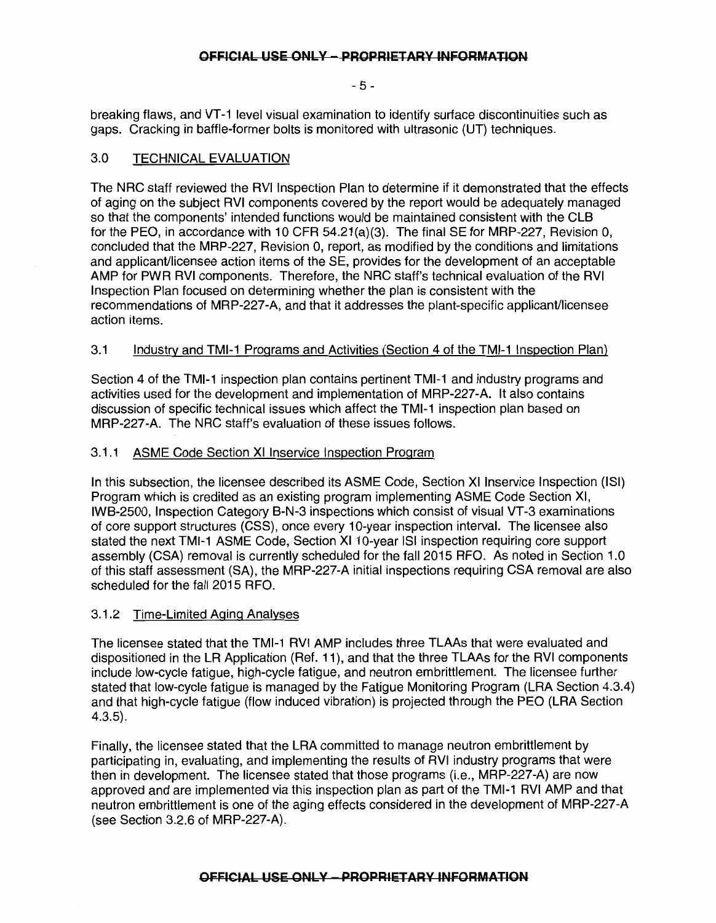- 5-

breaking flaws, and VT-1 level visual examination to identify surface discontinuities such as gaps. Cracking in baffle-former bolts is monitored with ultrasonic (UT) techniques.

# 3.0 TECHNICAL EVALUATION

The NRC staff reviewed the RVI Inspection Plan to determine if it demonstrated that the effects of aging on the subject RVI components covered by the report would be adequately managed so that the components' intended functions would be maintained consistent with the CLB for the PEO, in accordance with 10 CFR 54.21 (a)(3). The final SE for MRP-227, Revision 0, concluded that the MRP-227, Revision 0, report, as modified by the conditions and limitations and applicant/licensee action items of the SE, provides for the development of an acceptable AMP for PWR RVI components. Therefore, the NRC staff's technical evaluation of the RVI Inspection Plan focused on determining whether the plan is consistent with the recommendations of MRP-227-A, and that it addresses the plant-specific applicant/licensee action items.

# 3.1 Industry and TMI-1 Programs and Activities (Section 4 of the TMI-1 Inspection Plan)

Section 4 of the TMI-1 inspection plan contains pertinent TMI-1 and industry programs and activities used for the development and implementation of MRP-227-A. It also contains discussion of specific technical issues which affect the TMI-1 inspection plan based on MRP-227-A. The NRC staff's evaluation of these issues follows.

# 3.1.1 ASME Code Section XI lnservice Inspection Program

In this subsection, the licensee described its ASME Code, Section XI lnservice Inspection (lSI) Program which is credited as an existing program implementing ASME Code Section XI, IWB-2500, Inspection Category B-N-3 inspections which consist of visual VT-3 examinations of core support structures (CSS), once every 1 0-year inspection interval. The licensee also stated the next TMI-1 ASME Code, Section XI 10-year ISI inspection requiring core support assembly (CSA) removal is currently scheduled for the fall 2015 RFO. As noted in Section 1.0 of this staff assessment (SA), the MRP-227-A initial inspections requiring CSA removal are also scheduled for the fall 2015 RFO.

## 3.1.2 Time-Limited Aging Analyses

The licensee stated that the TMI-1 RVI AMP includes three TLAAs that were evaluated and dispositioned in the LR Application (Ref. 11 ), and that the three TLAAs for the RVI components include low-cycle fatigue, high-cycle fatigue, and neutron embrittlement. The licensee further stated that low-cycle fatigue is managed by the Fatigue Monitoring Program (LRA Section 4.3.4) and that high-cycle fatigue (flow induced vibration) is projected through the PEO (LRA Section 4.3.5).

Finally, the licensee stated that the LRA committed to manage neutron embrittlement by participating in, evaluating, and implementing the results of RVI industry programs that were then in development. The licensee stated that those programs (i.e., MRP-227-A) are now approved and are implemented via this inspection plan as part of the TMI-1 RVI AMP and that neutron embrittlement is one of the aging effects considered in the development of MRP-227-A (see Section 3.2.6 of MRP-227-A).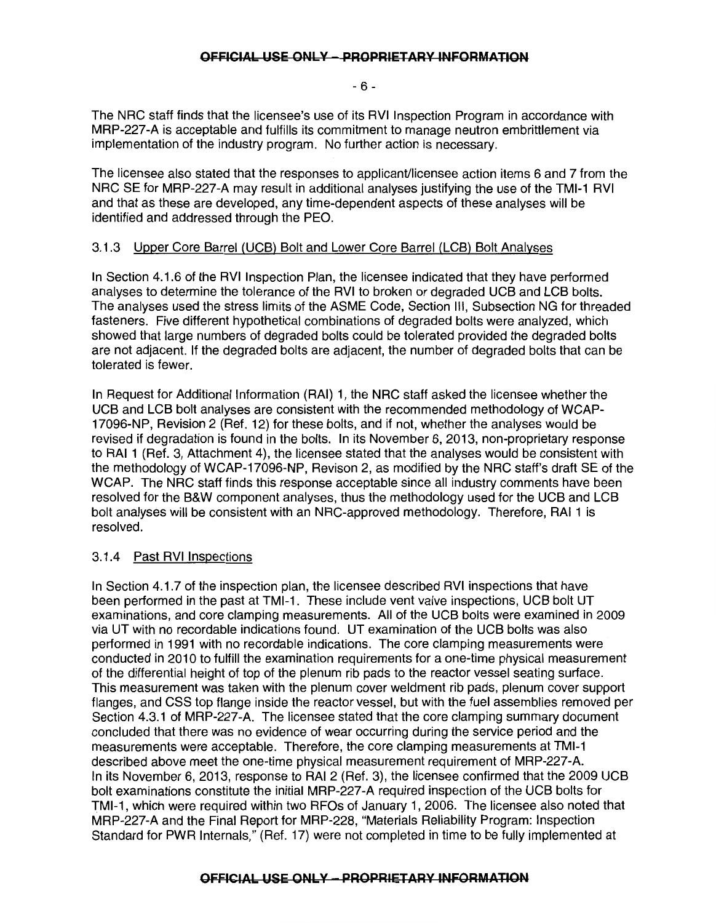- 6-

The NRC staff finds that the licensee's use of its RVI Inspection Program in accordance with MRP-227-A is acceptable and fulfills its commitment to manage neutron embrittlement via implementation of the industry program. No further action is necessary.

The licensee also stated that the responses to applicant/licensee action items 6 and 7 from the NRC SE for MRP-227-A may result in additional analyses justifying the use of the TMI-1 RVI and that as these are developed, any time-dependent aspects of these analyses will be identified and addressed through the PEO.

# 3.1 .3 Upper Core Barrel (UCB) Bolt and Lower Core Barrel (LCB) Bolt Analyses

In Section 4.1.6 of the RVI Inspection Plan, the licensee indicated that they have performed analyses to determine the tolerance of the RVI to broken or degraded UCB and LCB bolts. The analyses used the stress limits of the ASME Code, Section Ill, Subsection NG for threaded fasteners. Five different hypothetical combinations of degraded bolts were analyzed, which showed that large numbers of degraded bolts could be tolerated provided the degraded bolts are not adjacent. If the degraded bolts are adjacent, the number of degraded bolts that can be tolerated is fewer.

In Request for Additional Information (RAI) 1, the NRC staff asked the licensee whether the UCB and LCB bolt analyses are consistent with the recommended methodology of WCAP-17096-NP, Revision 2 (Ref. 12) for these bolts, and if not, whether the analyses would be revised if degradation is found in the bolts. In its November 6, 2013, non-proprietary response to RAI 1 (Ref. 3, Attachment 4), the licensee stated that the analyses would be consistent with the methodology of WCAP-17096-NP, Revison 2, as modified by the NRC staff's draft SE of the WCAP. The NRC staff finds this response acceptable since all industry comments have been resolved for the B&W component analyses, thus the methodology used for the UCB and LCB bolt analyses will be consistent with an NRC-approved methodology. Therefore, RAI 1 is resolved.

# 3.1.4 Past RVI Inspections

In Section 4.1.7 of the inspection plan, the licensee described RVI inspections that have been performed in the past at TMI-1. These include vent valve inspections, UCB bolt UT examinations, and core clamping measurements. All of the UCB bolts were examined in 2009 via UT with no recordable indications found. UT examination of the UCB bolts was also performed in 1991 with no recordable indications. The core clamping measurements were conducted in 2010 to fulfill the examination requirements for a one-time physical measurement of the differential height of top of the plenum rib pads to the reactor vessel seating surface. This measurement was taken with the plenum cover weldment rib pads, plenum cover support flanges, and CSS top flange inside the reactor vessel, but with the fuel assemblies removed per Section 4.3.1 of MRP-227-A. The licensee stated that the core clamping summary document concluded that there was no evidence of wear occurring during the service period and the measurements were acceptable. Therefore, the core clamping measurements at TMI-1 described above meet the one-time physical measurement requirement of MRP-227-A. In its November 6, 2013, response to RAI 2 (Ref. 3), the licensee confirmed that the 2009 UCB bolt examinations constitute the initial MRP-227-A required inspection of the UCB bolts for TMI-1, which were required within two RFOs of January 1, 2006. The licensee also noted that MRP-227 -A and the Final Report for MRP-228, "Materials Reliability Program: Inspection Standard for PWR Internals," (Ref. 17) were not completed in time to be fully implemented at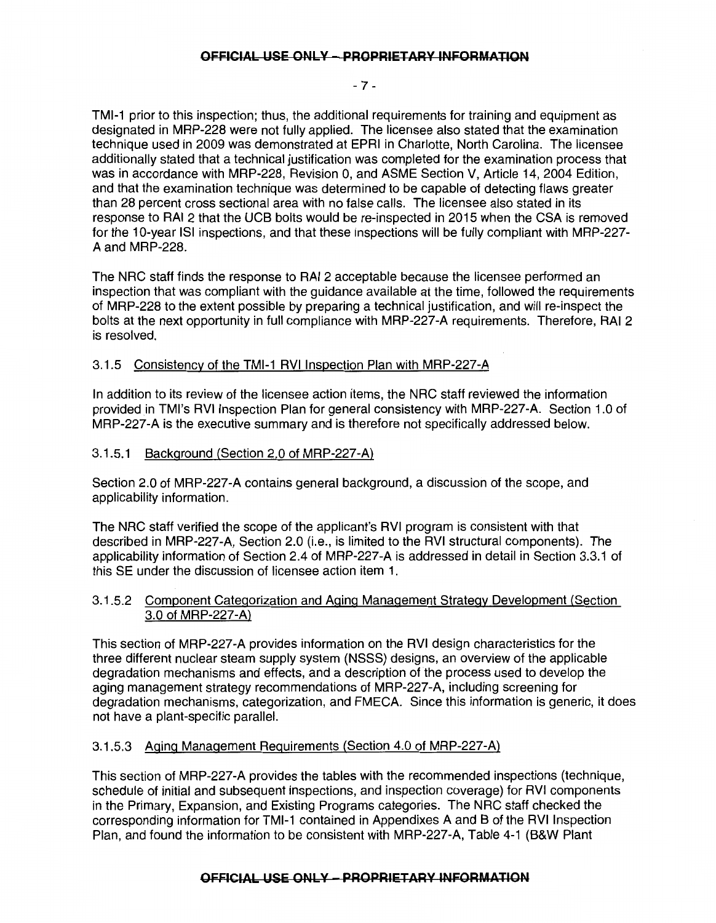### - 7 -

TMI-1 prior to this inspection; thus, the additional requirements for training and equipment as designated in MRP-228 were not fully applied. The licensee also stated that the examination technique used in 2009 was demonstrated at EPRI in Charlotte, North Carolina. The licensee additionally stated that a technical justification was completed for the examination process that was in accordance with MRP-228, Revision 0, and ASME Section V, Article 14, 2004 Edition, and that the examination technique was determined to be capable of detecting flaws greater than 28 percent cross sectional area with no false calls. The licensee also stated in its response to RAI 2 that the UCB bolts would be re-inspected in 2015 when the CSA is removed for the 10-year lSI inspections, and that these inspections will be fully compliant with MRP-227- A and MRP-228.

The NRC staff finds the response to RAI 2 acceptable because the licensee performed an inspection that was compliant with the guidance available at the time, followed the requirements of MRP-228 to the extent possible by preparing a technical justification, and will re-inspect the bolts at the next opportunity in full compliance with MRP-227-A requirements. Therefore, RAI 2 is resolved.

## 3.1.5 Consistency of the TMI-1 RVI Inspection Plan with MRP-227-A

In addition to its review of the licensee action items, the NRC staff reviewed the information provided in TMI's RVIInspection Plan for general consistency with MRP-227-A. Section 1.0 of MRP-227-A is the executive summary and is therefore not specifically addressed below.

## 3.1.5.1 Background (Section 2.0 of MRP-227-A)

Section 2.0 of MRP-227-A contains general background, a discussion of the scope, and applicability information.

The NRC staff verified the scope of the applicant's RVI program is consistent with that described in MRP-227-A, Section 2.0 (i.e., is limited to the RVI structural components). The applicability information of Section 2.4 of MRP-227-A is addressed in detail in Section 3.3.1 of this SE under the discussion of licensee action item 1.

## 3.1.5.2 Component Categorization and Aging Management Strategy Development (Section 3.0 of MRP-227-A)

This section of MRP-227-A provides information on the RVI design characteristics for the three different nuclear steam supply system (NSSS) designs, an overview of the applicable degradation mechanisms and effects, and a description of the process used to develop the aging management strategy recommendations of MRP-227-A, including screening for degradation mechanisms, categorization, and FMECA. Since this information is generic, it does not have a plant-specific parallel.

# 3.1.5.3 Aging Management Requirements (Section 4.0 of MRP-227-A)

This section of MRP-227-A provides the tables with the recommended inspections (technique, schedule of initial and subsequent inspections, and inspection coverage) for RVI components in the Primary, Expansion, and Existing Programs categories. The NRC staff checked the corresponding information for TMI-1 contained in Appendixes A and B of the RVI Inspection Plan, and found the information to be consistent with MRP-227 -A, Table 4-1 (B&W Plant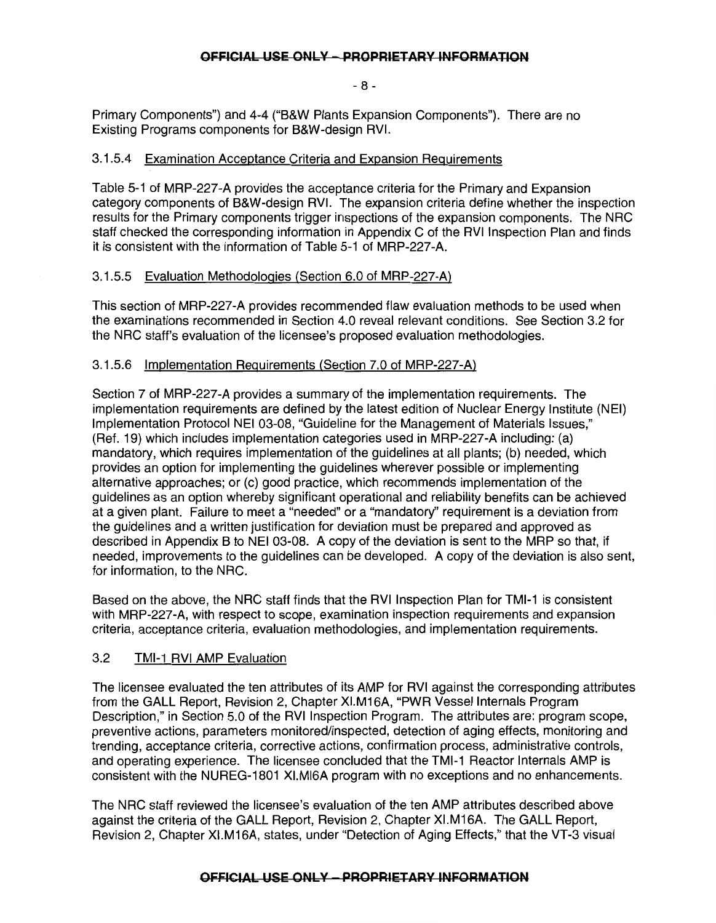- 8-

Primary Components") and 4-4 ("B&W Plants Expansion Components"). There are no Existing Programs components for B&W-design RVI.

# 3.1.5.4 Examination Acceptance Criteria and Expansion Requirements

Table 5-1 of MRP-227-A provides the acceptance criteria for the Primary and Expansion category components of B&W-design RVI. The expansion criteria define whether the inspection results for the Primary components trigger inspections of the expansion components. The NRC staff checked the corresponding information in Appendix C of the RVI Inspection Plan and finds it is consistent with the information of Table 5-1 of MRP-227-A.

## 3.1.5.5 Evaluation Methodologies (Section 6.0 of MRP-227-A)

This section of MRP-227-A provides recommended flaw evaluation methods to be used when the examinations recommended in Section 4.0 reveal relevant conditions. See Section 3.2 for the NRC staff's evaluation of the licensee's proposed evaluation methodologies.

## 3.1.5.6 Implementation Requirements (Section 7.0 of MRP-227-A)

Section 7 of MRP-227-A provides a summary of the implementation requirements. The implementation requirements are defined by the latest edition of Nuclear Energy Institute (NEI) Implementation Protocol NEI 03-08, "Guideline for the Management of Materials Issues," (Ref. 19) which includes implementation categories used in MRP-227-A including: (a) mandatory, which requires implementation of the guidelines at all plants; (b) needed, which provides an option for implementing the guidelines wherever possible or implementing alternative approaches; or (c) good practice, which recommends implementation of the guidelines as an option whereby significant operational and reliability benefits can be achieved at a given plant. Failure to meet a "needed" or a "mandatory" requirement is a deviation from the guidelines and a written justification for deviation must be prepared and approved as described in Appendix B to NEI 03-08. A copy of the deviation is sent to the MRP so that, if needed, improvements to the guidelines can be developed. A copy of the deviation is also sent, for information, to the NRC.

Based on the above, the NRC staff finds that the RVI Inspection Plan for TMI-1 is consistent with MRP-227-A, with respect to scope, examination inspection requirements and expansion criteria, acceptance criteria, evaluation methodologies, and implementation requirements.

# 3.2 TMI-1 RVI AMP Evaluation

The licensee evaluated the ten attributes of its AMP for RVI against the corresponding attributes from the GALL Report, Revision 2, Chapter XI.M16A, "PWR Vessel Internals Program Description," in Section 5.0 of the RVI Inspection Program. The attributes are: program scope, preventive actions, parameters monitored/inspected, detection of aging effects, monitoring and trending, acceptance criteria, corrective actions, confirmation process, administrative controls, and operating experience. The licensee concluded that the TMI-1 Reactor Internals AMP is consistent with the NUREG-1801 XI.MI6A program with no exceptions and no enhancements.

The NRC staff reviewed the licensee's evaluation of the ten AMP attributes described above against the criteria of the GALL Report, Revision 2, Chapter XI.M16A. The GALL Report, Revision 2, Chapter XI.M16A, states, under "Detection of Aging Effects," that the VT-3 visual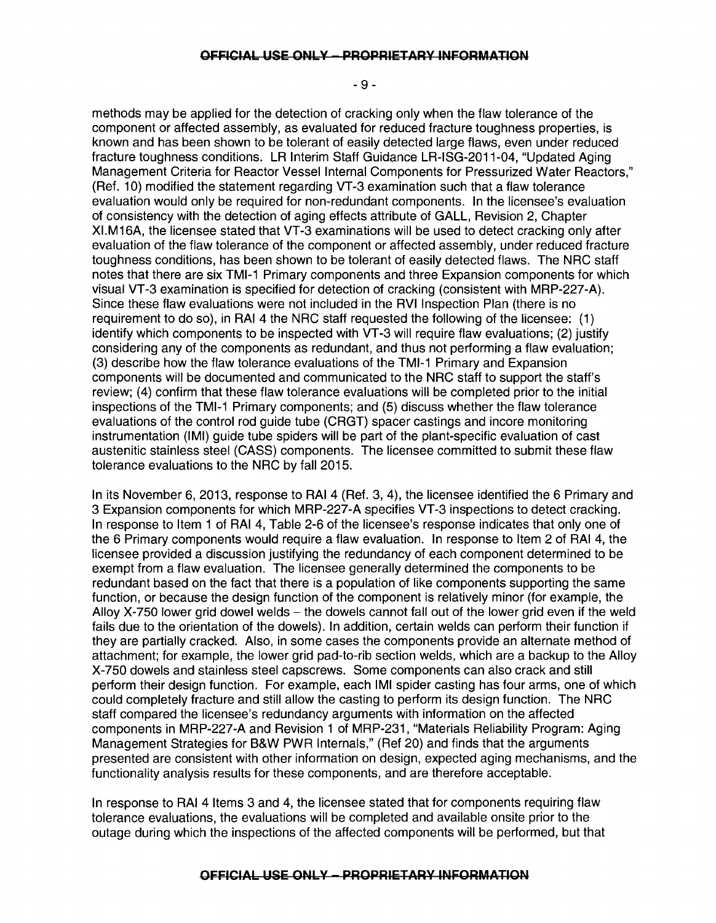- 9-

methods may be applied for the detection of cracking only when the flaw tolerance of the component or affected assembly, as evaluated for reduced fracture toughness properties, is known and has been shown to be tolerant of easily detected large flaws, even under reduced fracture toughness conditions. LR Interim Staff Guidance LR-ISG-2011-04, "Updated Aging Management Criteria for Reactor Vessel Internal Components for Pressurized Water Reactors," (Ref. 10) modified the statement regarding VT-3 examination such that a flaw tolerance evaluation would only be required for non-redundant components. In the licensee's evaluation of consistency with the detection of aging effects attribute of GALL, Revision 2, Chapter XI.M16A, the licensee stated that VT-3 examinations will be used to detect cracking only after evaluation of the flaw tolerance of the component or affected assembly, under reduced fracture toughness conditions, has been shown to be tolerant of easily detected flaws. The NRC staff notes that there are six TMI-1 Primary components and three Expansion components for which visual VT-3 examination is specified for detection of cracking (consistent with MRP-227-A). Since these flaw evaluations were not included in the RVI Inspection Plan (there is no requirement to do so), in RAI 4 the NRC staff requested the following of the licensee: (1) identify which components to be inspected with VT -3 will require flaw evaluations; (2) justify considering any of the components as redundant, and thus not performing a flaw evaluation; (3) describe how the flaw tolerance evaluations of the TMI-1 Primary and Expansion components will be documented and communicated to the NRC staff to support the staff's review; (4) confirm that these flaw tolerance evaluations will be completed prior to the initial inspections of the TMI-1 Primary components; and (5) discuss whether the flaw tolerance evaluations of the control rod guide tube (CRGT) spacer castings and incore monitoring instrumentation (IMI) guide tube spiders will be part of the plant-specific evaluation of cast austenitic stainless steel (CASS) components. The licensee committed to submit these flaw tolerance evaluations to the NRC by fall 2015.

In its November 6, 2013, response to RAI 4 (Ref. 3, 4), the licensee identified the 6 Primary and 3 Expansion components for which MRP-227-A specifies VT-3 inspections to detect cracking. In response to Item 1 of RAI 4, Table 2-6 of the licensee's response indicates that only one of the 6 Primary components would require a flaw evaluation. In response to Item 2 of RAI 4, the licensee provided a discussion justifying the redundancy of each component determined to be exempt from a flaw evaluation. The licensee generally determined the components to be redundant based on the fact that there is a population of like components supporting the same function, or because the design function of the component is relatively minor (for example, the Alloy X-750 lower grid dowel welds- the dowels cannot fall out of the lower grid even if the weld fails due to the orientation of the dowels). In addition, certain welds can perform their function if they are partially cracked. Also, in some cases the components provide an alternate method of attachment; for example, the lower grid pad-to-rib section welds, which are a backup to the Alloy X-750 dowels and stainless steel capscrews. Some components can also crack and still perform their design function. For example, each IMI spider casting has four arms, one of which could completely fracture and still allow the casting to perform its design function. The NRC staff compared the licensee's redundancy arguments with information on the affected components in MRP-227-A and Revision 1 of MRP-231, "Materials Reliability Program: Aging Management Strategies for B&W PWR Internals," (Ref 20) and finds that the arguments presented are consistent with other information on design, expected aging mechanisms, and the functionality analysis results for these components, and are therefore acceptable.

In response to RAI 4 Items 3 and 4, the licensee stated that for components requiring flaw tolerance evaluations, the evaluations will be completed and available onsite prior to the outage during which the inspections of the affected components will be performed, but that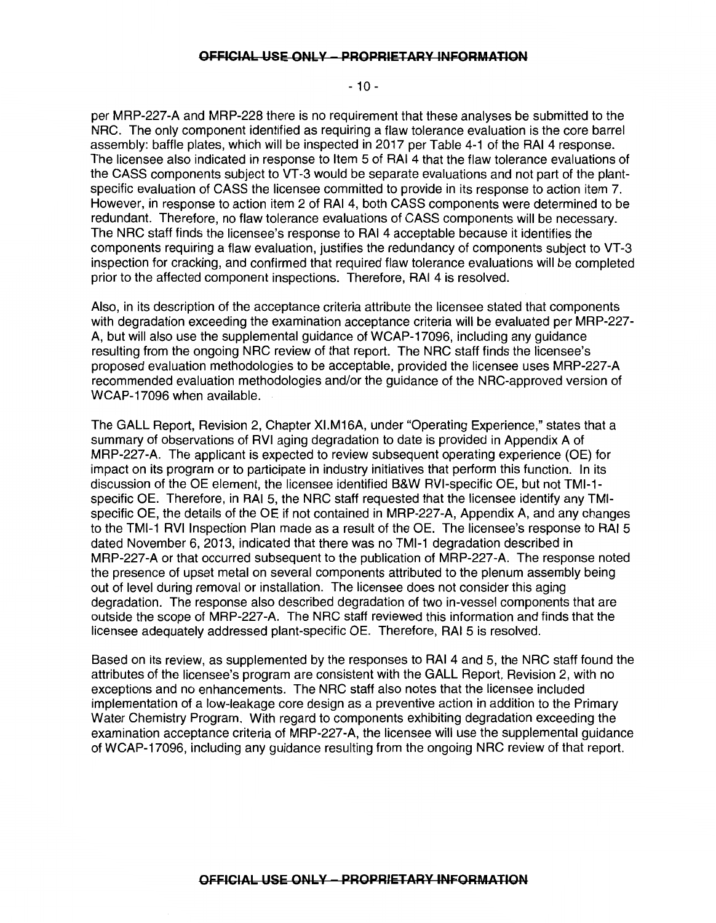$-10-$ 

per MRP-227-A and MRP-228 there is no requirement that these analyses be submitted to the NRC. The only component identified as requiring a flaw tolerance evaluation is the core barrel assembly: baffle plates, which will be inspected in 2017 per Table 4-1 of the RAI 4 response. The licensee also indicated in response to Item 5 of RAI 4 that the flaw tolerance evaluations of the CASS components subject to VT-3 would be separate evaluations and not part of the plantspecific evaluation of CASS the licensee committed to provide in its response to action item 7. However, in response to action item 2 of RAI 4, both CASS components were determined to be redundant. Therefore, no flaw tolerance evaluations of CASS components will be necessary. The NRC staff finds the licensee's response to RAI 4 acceptable because it identifies the components requiring a flaw evaluation, justifies the redundancy of components subject to VT-3 inspection for cracking, and confirmed that required flaw tolerance evaluations will be completed prior to the affected component inspections. Therefore, RAI 4 is resolved.

Also, in its description of the acceptance criteria attribute the licensee stated that components with degradation exceeding the examination acceptance criteria will be evaluated per MRP-227- A, but will also use the supplemental guidance of WCAP-17096, including any guidance resulting from the ongoing NRC review of that report. The NRC staff finds the licensee's proposed evaluation methodologies to be acceptable, provided the licensee uses MRP-227-A recommended evaluation methodologies and/or the guidance of the NRC-approved version of WCAP-17096 when available.

The GALL Report, Revision 2, Chapter XI.M16A, under "Operating Experience," states that a summary of observations of RVI aging degradation to date is provided in Appendix A of MRP-227-A. The applicant is expected to review subsequent operating experience (OE) for impact on its program or to participate in industry initiatives that perform this function. In its discussion of the OE element, the licensee identified B&W RVI-specific OE, but not TMI-1 specific OE. Therefore, in RAI 5, the NRC staff requested that the licensee identify any TMIspecific OE, the details of the OE if not contained in MRP-227-A, Appendix A, and any changes to the TMI-1 RVI Inspection Plan made as a result of the OE. The licensee's response to RAI 5 dated November 6, 2013, indicated that there was no TMI-1 degradation described in MRP-227-A or that occurred subsequent to the publication of MRP-227-A. The response noted the presence of upset metal on several components attributed to the plenum assembly being out of level during removal or installation. The licensee does not consider this aging degradation. The response also described degradation of two in-vessel components that are outside the scope of MRP-227-A. The NRC staff reviewed this information and finds that the licensee adequately addressed plant-specific OE. Therefore, RAI 5 is resolved.

Based on its review, as supplemented by the responses to RAI 4 and 5, the NRC staff found the attributes of the licensee's program are consistent with the GALL Report, Revision 2, with no exceptions and no enhancements. The NRC staff also notes that the licensee included implementation of a low-leakage core design as a preventive action in addition to the Primary Water Chemistry Program. With regard to components exhibiting degradation exceeding the examination acceptance criteria of MRP-227-A, the licensee will use the supplemental guidance of WCAP-17096, including any guidance resulting from the ongoing NRC review of that report.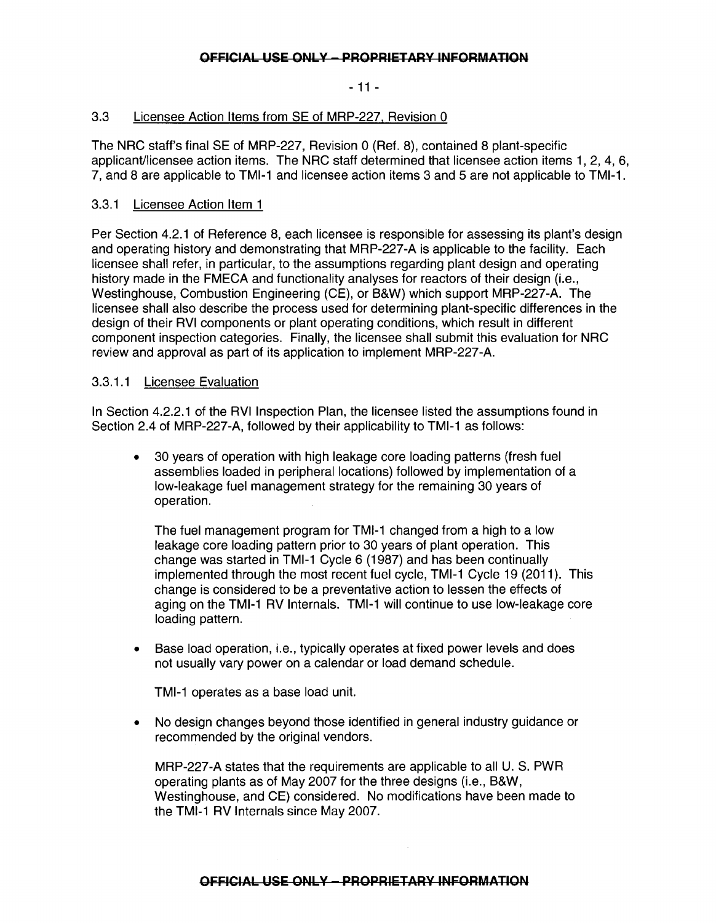## - 11 -

## 3.3 Licensee Action Items from SE of MRP-227, Revision 0

The NRC staff's final SE of MRP-227, Revision 0 (Ref. 8), contained 8 plant-specific applicant/licensee action items. The NRC staff determined that licensee action items 1, 2, 4, 6, 7, and 8 are applicable to TMI-1 and licensee action items 3 and 5 are not applicable to TMI-1.

## 3.3.1 Licensee Action Item 1

Per Section 4.2.1 of Reference 8, each licensee is responsible for assessing its plant's design and operating history and demonstrating that MRP-227-A is applicable to the facility. Each licensee shall refer, in particular, to the assumptions regarding plant design and operating history made in the FMECA and functionality analyses for reactors of their design (i.e., Westinghouse, Combustion Engineering (CE), or B&W) which support MRP-227-A. The licensee shall also describe the process used for determining plant-specific differences in the design of their RVI components or plant operating conditions, which result in different component inspection categories. Finally, the licensee shall submit this evaluation for NRC review and approval as part of its application to implement MRP-227-A.

## 3.3.1.1 Licensee Evaluation

In Section 4.2.2.1 of the RVI Inspection Plan, the licensee listed the assumptions found in Section 2.4 of MRP-227-A, followed by their applicability to TMI-1 as follows:

• 30 years of operation with high leakage core loading patterns (fresh fuel assemblies loaded in peripheral locations) followed by implementation of a low-leakage fuel management strategy for the remaining 30 years of operation.

The fuel management program for TMI-1 changed from a high to a low leakage core loading pattern prior to 30 years of plant operation. This change was started in TMI-1 Cycle 6 (1987) and has been continually implemented through the most recent fuel cycle, TMI-1 Cycle 19 (2011 ). This change is considered to be a preventative action to lessen the effects of aging on the TMI-1 RV Internals. TMI-1 will continue to use low-leakage core loading pattern.

• Base load operation, i.e., typically operates at fixed power levels and does not usually vary power on a calendar or load demand schedule.

TMI-1 operates as a base load unit.

• No design changes beyond those identified in general industry guidance or recommended by the original vendors.

MRP-227-A states that the requirements are applicable to all U.S. PWR operating plants as of May 2007 for the three designs (i.e., B&W, Westinghouse, and CE) considered. No modifications have been made to the TMI-1 RV Internals since May 2007.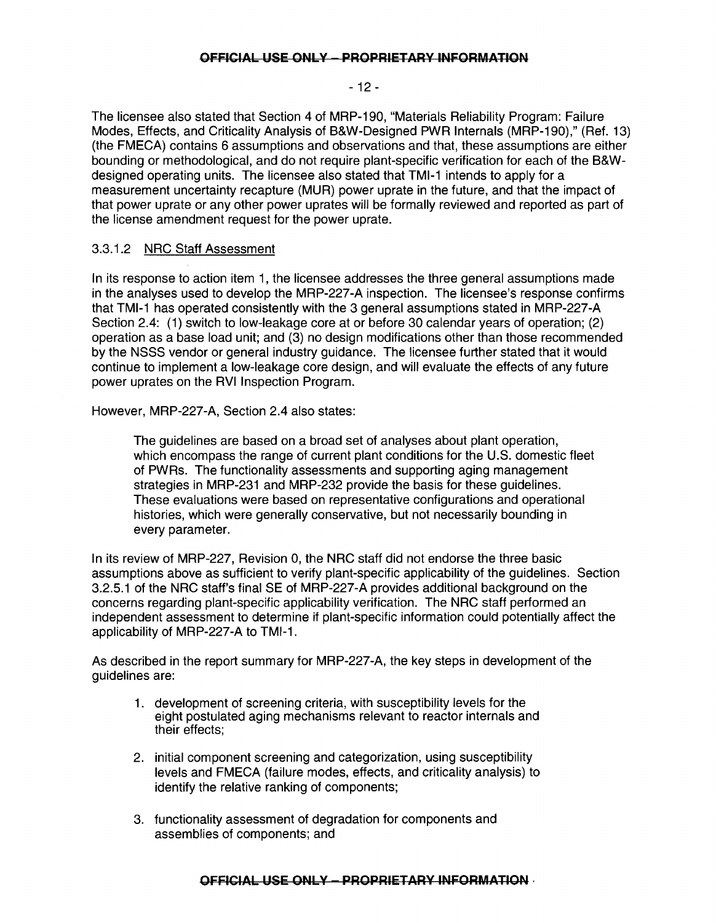#### $-12-$

The licensee also stated that Section 4 of MRP-190, "Materials Reliability Program: Failure Modes, Effects, and Criticality Analysis of B&W-Designed PWR Internals (MRP-190)," (Ref. 13) (the FMECA) contains 6 assumptions and observations and that, these assumptions are either bounding or methodological, and do not require plant-specific verification for each of the B&Wdesigned operating units. The licensee also stated that TMI-1 intends to apply for a measurement uncertainty recapture (MUR) power uprate in the future, and that the impact of that power uprate or any other power uprates will be formally reviewed and reported as part of the license amendment request for the power uprate.

### 3.3.1.2 NRC Staff Assessment

In its response to action item 1, the licensee addresses the three general assumptions made in the analyses used to develop the MRP-227-A inspection. The licensee's response confirms that TMI-1 has operated consistently with the 3 general assumptions stated in MRP-227-A Section 2.4: (1) switch to low-leakage core at or before 30 calendar years of operation; (2) operation as a base load unit; and (3) no design modifications other than those recommended by the NSSS vendor or general industry guidance. The licensee further stated that it would continue to implement a low-leakage core design, and will evaluate the effects of any future power uprates on the RVI Inspection Program.

However, MRP-227-A, Section 2.4 also states:

The guidelines are based on a broad set of analyses about plant operation, which encompass the range of current plant conditions for the U.S. domestic fleet of PWRs. The functionality assessments and supporting aging management strategies in MRP-231 and MRP-232 provide the basis for these guidelines. These evaluations were based on representative configurations and operational histories, which were generally conservative, but not necessarily bounding in every parameter.

In its review of MRP-227, Revision 0, the NRC staff did not endorse the three basic assumptions above as sufficient to verify plant-specific applicability of the guidelines. Section 3.2.5.1 of the NRC staff's final SE of MRP-227-A provides additional background on the concerns regarding plant-specific applicability verification. The NRC staff performed an independent assessment to determine if plant-specific information could potentially affect the applicability of MRP-227-A to TMI-1.

As described in the report summary for MRP-227-A, the key steps in development of the guidelines are:

- 1. development of screening criteria, with susceptibility levels for the eight postulated aging mechanisms relevant to reactor internals and their effects;
- 2. initial component screening and categorization, using susceptibility levels and FMECA (failure modes, effects, and criticality analysis) to identify the relative ranking of components;
- 3. functionality assessment of degradation for components and assemblies of components; and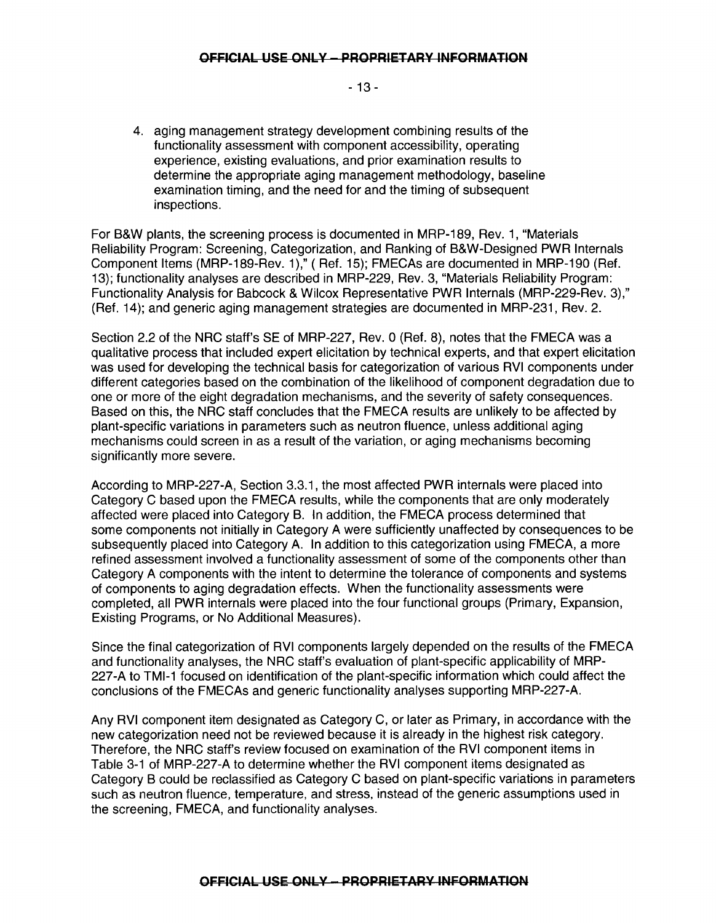- 13-

4. aging management strategy development combining results of the functionality assessment with component accessibility, operating experience, existing evaluations, and prior examination results to determine the appropriate aging management methodology, baseline examination timing, and the need for and the timing of subsequent inspections.

For B&W plants, the screening process is documented in MRP-189, Rev. 1, "Materials Reliability Program: Screening, Categorization, and Ranking of B&W-Designed PWR Internals Component Items (MRP-189-Rev. 1)," (Ref. 15); FMECAs are documented in MRP-190 (Ref. 13); functionality analyses are described in MRP-229, Rev. 3, "Materials Reliability Program: Functionality Analysis for Babcock & Wilcox Representative PWR Internals (MRP-229-Rev. 3)," (Ref. 14); and generic aging management strategies are documented in MRP-231, Rev. 2.

Section 2.2 of the NRC staff's SE of MRP-227, Rev. 0 (Ref. 8), notes that the FMECA was a qualitative process that included expert elicitation by technical experts, and that expert elicitation was used for developing the technical basis for categorization of various RVI components under different categories based on the combination of the likelihood of component degradation due to one or more of the eight degradation mechanisms, and the severity of safety consequences. Based on this, the NRC staff concludes that the FMECA results are unlikely to be affected by plant-specific variations in parameters such as neutron fluence, unless additional aging mechanisms could screen in as a result of the variation, or aging mechanisms becoming significantly more severe.

According to MRP-227-A, Section 3.3.1, the most affected PWR internals were placed into Category C based upon the FMECA results, while the components that are only moderately affected were placed into Category B. In addition, the FMECA process determined that some components not initially in Category A were sufficiently unaffected by consequences to be subsequently placed into Category A. In addition to this categorization using FMECA, a more refined assessment involved a functionality assessment of some of the components other than Category A components with the intent to determine the tolerance of components and systems of components to aging degradation effects. When the functionality assessments were completed, all PWR internals were placed into the four functional groups (Primary, Expansion, Existing Programs, or No Additional Measures).

Since the final categorization of RVI components largely depended on the results of the FMECA and functionality analyses, the NRC staff's evaluation of plant-specific applicability of MRP-227-A to TMI-1 focused on identification of the plant-specific information which could affect the conclusions of the FMECAs and generic functionality analyses supporting MRP-227-A.

Any RVI component item designated as Category C, or later as Primary, in accordance with the new categorization need not be reviewed because it is already in the highest risk category. Therefore, the NRC staff's review focused on examination of the RVI component items in Table 3-1 of MRP-227-A to determine whether the RVI component items designated as Category B could be reclassified as Category C based on plant-specific variations in parameters such as neutron fluence, temperature, and stress, instead of the generic assumptions used in the screening, FMECA, and functionality analyses.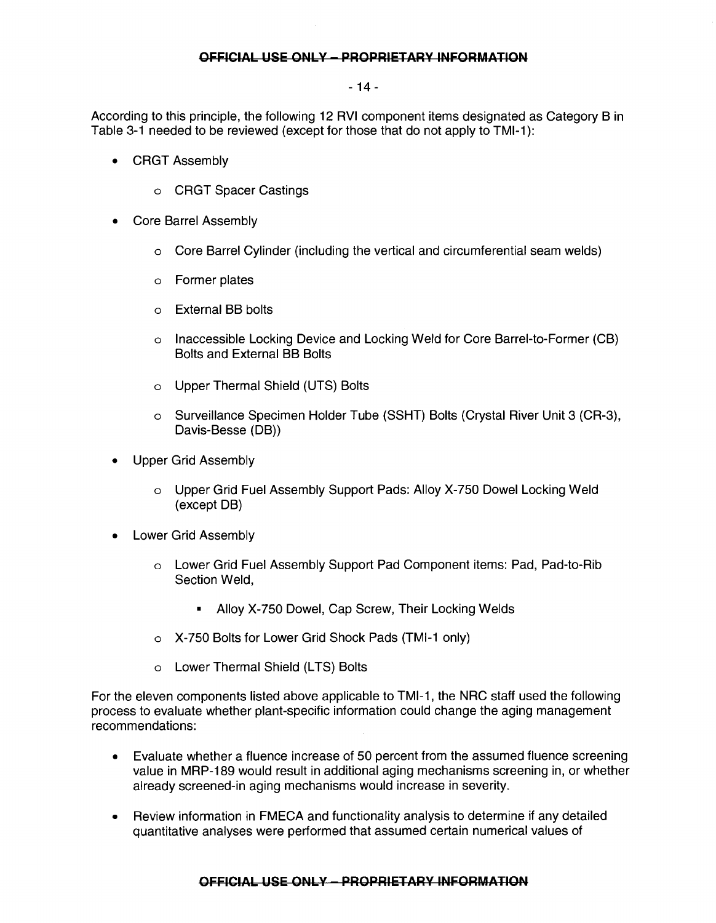#### - 14-

According to this principle, the following 12 RVI component items designated as Category B in Table 3-1 needed to be reviewed (except for those that do not apply to TMI-1):

- CRGT Assembly
	- o CRGT Spacer Castings
- Core Barrel Assembly
	- o Core Barrel Cylinder (including the vertical and circumferential seam welds)
	- o Former plates
	- o External BB bolts
	- o Inaccessible Locking Device and Locking Weld for Core Barrel-to-Former (CB) Bolts and External BB Bolts
	- o Upper Thermal Shield (UTS) Bolts
	- o Surveillance Specimen Holder Tube (SSHT) Bolts (Crystal River Unit 3 (CR-3), Davis-Besse (DB))
- Upper Grid Assembly
	- o Upper Grid Fuel Assembly Support Pads: Alloy X-750 Dowel Locking Weld (except DB)
- Lower Grid Assembly
	- o Lower Grid Fuel Assembly Support Pad Component items: Pad, Pad-to-Rib Section Weld,
		- Alloy X-750 Dowel, Cap Screw, Their Locking Welds
	- o X-750 Bolts for Lower Grid Shock Pads {TMI-1 only)
	- o Lower Thermal Shield (LTS) Bolts

For the eleven components listed above applicable to TMI-1, the NRC staff used the following process to evaluate whether plant-specific information could change the aging management recommendations:

- Evaluate whether a fluence increase of 50 percent from the assumed fluence screening value in MRP-189 would result in additional aging mechanisms screening in, or whether already screened-in aging mechanisms would increase in severity.
- Review information in FMECA and functionality analysis to determine if any detailed quantitative analyses were performed that assumed certain numerical values of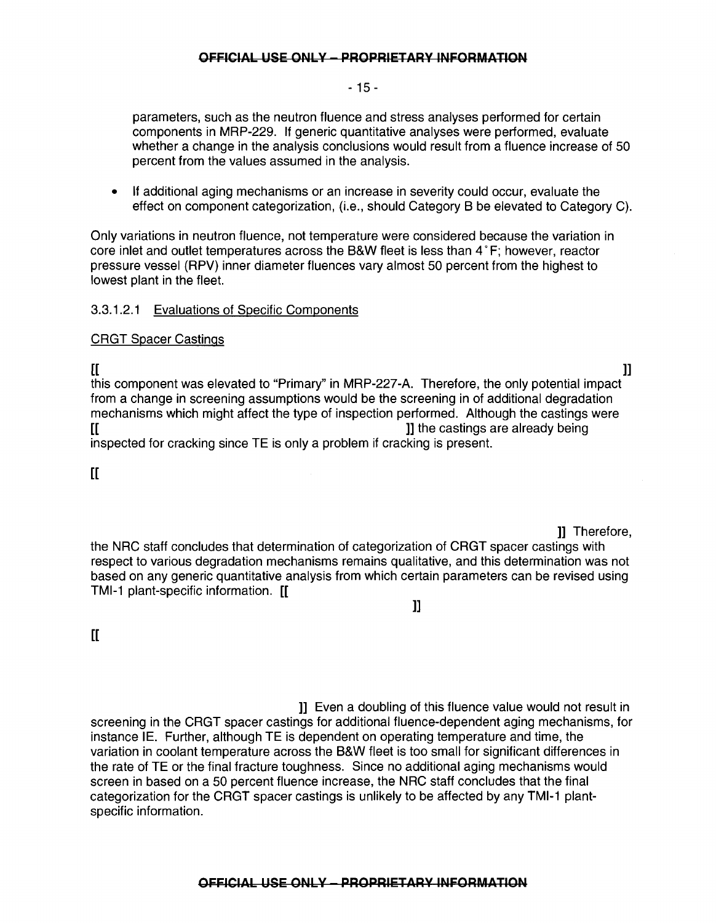## - 15 -

parameters, such as the neutron fluence and stress analyses performed for certain components in MRP-229. If generic quantitative analyses were performed, evaluate whether a change in the analysis conclusions would result from a fluence increase of 50 percent from the values assumed in the analysis.

• If additional aging mechanisms or an increase in severity could occur, evaluate the effect on component categorization, (i.e., should Category B be elevated to Category C).

Only variations in neutron fluence, not temperature were considered because the variation in core inlet and outlet temperatures across the B&W fleet is less than 4' F; however, reactor pressure vessel (RPV) inner diameter fluences vary almost 50 percent from the highest to lowest plant in the fleet.

## 3.3.1.2.1 Evaluations of Specific Components

## CRGT Spacer Castings

 $[[$   $]]$ this component was elevated to "Primary" in MRP-227-A. Therefore, the only potential impact from a change in screening assumptions would be the screening in of additional degradation mechanisms which might affect the type of inspection performed. Although the castings were [[ ]] the castings are already being inspected for cracking since TE is only a problem if cracking is present.

 $\prod$ 

]] Therefore,

the NRC staff concludes that determination of categorization of CRGT spacer castings with respect to various degradation mechanisms remains qualitative, and this determination was not based on any generic quantitative analysis from which certain parameters can be revised using TMI-1 plant-specific information. [[

]]

 $\prod$ 

]] Even a doubling of this fluence value would not result in screening in the CRGT spacer castings for additional fluence-dependent aging mechanisms, for instance IE. Further, although TE is dependent on operating temperature and time, the variation in coolant temperature across the B&W fleet is too small for significant differences in the rate of TE or the final fracture toughness. Since no additional aging mechanisms would screen in based on a 50 percent fluence increase, the NRC staff concludes that the final categorization for the CRGT spacer castings is unlikely to be affected by any TMI-1 plantspecific information.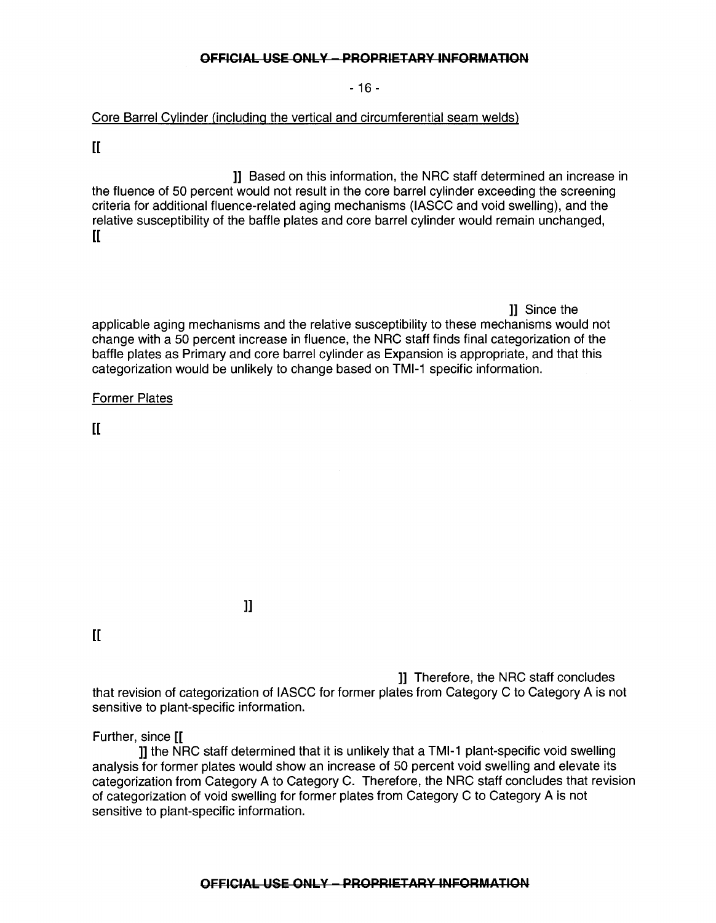- 16-

### Core Barrel Cylinder (including the vertical and circumferential seam welds)

 $\mathbf{I}$ 

]] Based on this information, the NRC staff determined an increase in the fluence of 50 percent would not result in the core barrel cylinder exceeding the screening criteria for additional fluence-related aging mechanisms (IASCC and void swelling), and the relative susceptibility of the baffle plates and core barrel cylinder would remain unchanged,  $\mathbf{r}$ 

]] Since the applicable aging mechanisms and the relative susceptibility to these mechanisms would not change with a 50 percent increase in fluence, the NRC staff finds final categorization of the baffle plates as Primary and core barrel cylinder as Expansion is appropriate, and that this categorization would be unlikely to change based on TMI-1 specific information.

### Former Plates

 $\mathbf{I}$ 

 $\overline{\mathbf{u}}$ 

 $[$ [ $]$ 

]] Therefore, the NRC staff concludes that revision of categorization of IASCC for former plates from Category C to Category A is not sensitive to plant-specific information.

## Further, since [[

]] the NRC staff determined that it is unlikely that a TMI-1 plant-specific void swelling analysis for former plates would show an increase of 50 percent void swelling and elevate its categorization from Category A to Category C. Therefore, the NRC staff concludes that revision of categorization of void swelling for former plates from Category C to Category A is not sensitive to plant-specific information.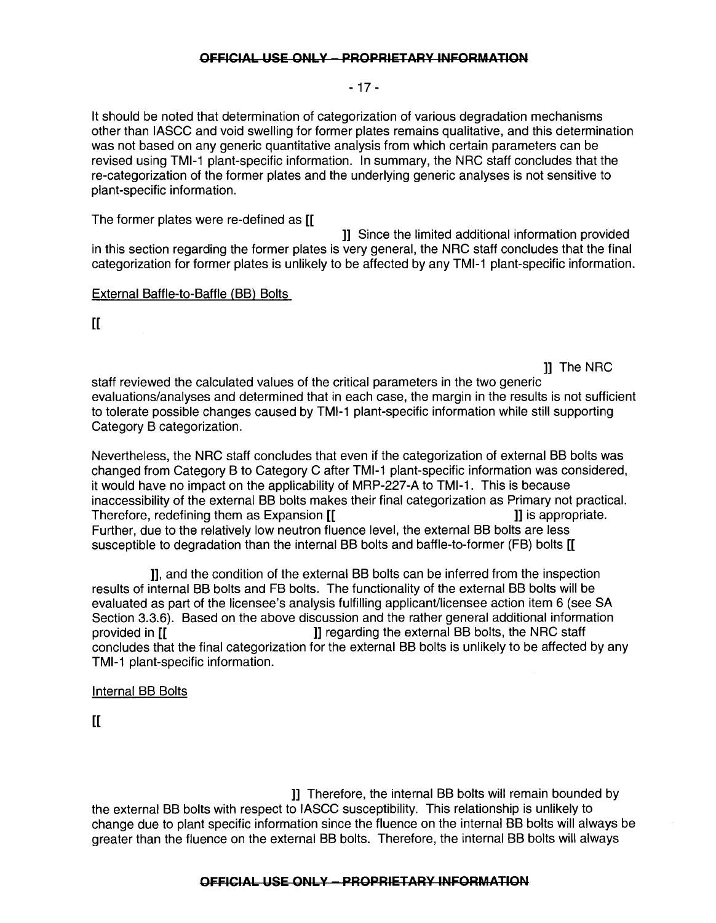#### - 17-

It should be noted that determination of categorization of various degradation mechanisms other than IASCC and void swelling for former plates remains qualitative, and this determination was not based on any generic quantitative analysis from which certain parameters can be revised using TMI-1 plant-specific information. In summary, the NRC staff concludes that the re-categorization of the former plates and the underlying generic analyses is not sensitive to plant-specific information.

The former plates were re-defined as [[

]] Since the limited additional information provided in this section regarding the former plates is very general, the NRC staff concludes that the final categorization for former plates is unlikely to be affected by any TMI-1 plant-specific information.

## External Baffle-to-Baffle (BB) Bolts

 $\mathbf{r}$ 

]] The NRC

staff reviewed the calculated values of the critical parameters in the two generic evaluations/analyses and determined that in each case, the margin in the results is not sufficient to tolerate possible changes caused by TMI-1 plant-specific information while still supporting Category B categorization.

Nevertheless, the NRC staff concludes that even if the categorization of external BB bolts was changed from Category B to Category C after TMI-1 plant-specific information was considered, it would have no impact on the applicability of MRP-227-A to TMI-1. This is because inaccessibility of the external BB bolts makes their final categorization as Primary not practical. Therefore, redefining them as Expansion [[  $\qquad \qquad$  ]] is appropriate. Further, due to the relatively low neutron fluence level, the external BB bolts are less susceptible to degradation than the internal BB bolts and baffle-to-former (FB) bolts [[

]], and the condition of the external BB bolts can be inferred from the inspection results of internal BB bolts and FB bolts. The functionality of the external BB bolts will be evaluated as part of the licensee's analysis fulfilling applicant/licensee action item 6 (see SA Section 3.3.6). Based on the above discussion and the rather general additional information provided in [[ ]] regarding the external BB bolts, the NRC staff concludes that the final categorization for the external BB bolts is unlikely to be affected by any TMI-1 plant-specific information.

Internal BB Bolts

 $\mathbf{I}$ 

]] Therefore, the internal BB bolts will remain bounded by the external BB bolts with respect to IASCC susceptibility. This relationship is unlikely to change due to plant specific information since the fluence on the internal BB bolts will always be greater than the fluence on the external BB bolts. Therefore, the internal BB bolts will always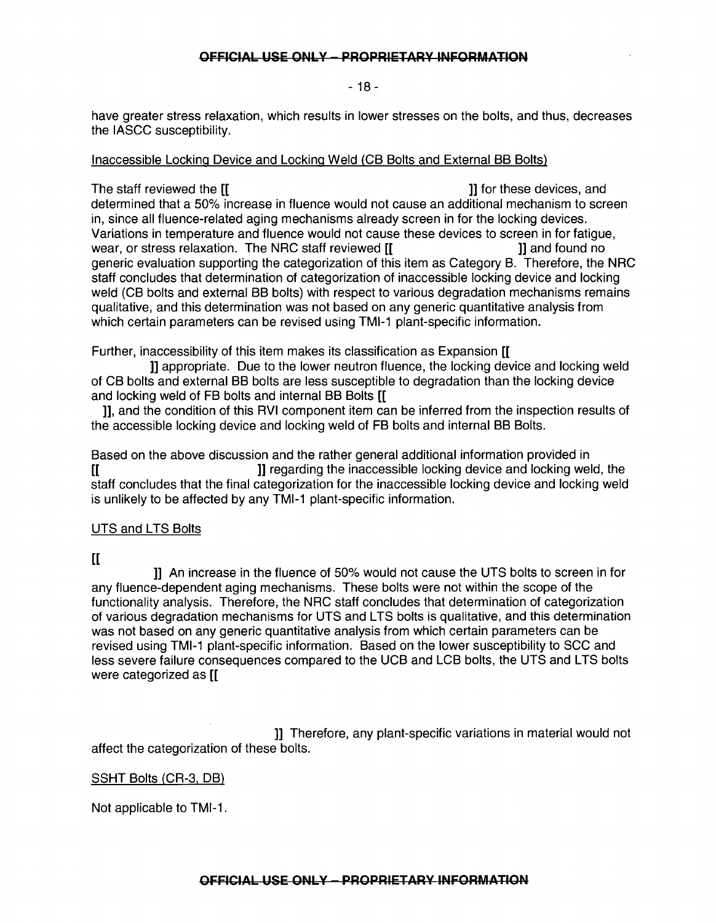#### - 18-

have greater stress relaxation, which results in lower stresses on the bolts, and thus, decreases the IASCC susceptibility.

### Inaccessible Locking Device and Locking Weld (CB Bolts and External BB Bolts)

The staff reviewed the  $\mathsf{[}$  [[  $\qquad \qquad$  ]] for these devices, and determined that a 50% increase in fluence would not cause an additional mechanism to screen in, since all fluence-related aging mechanisms already screen in for the locking devices. Variations in temperature and fluence would not cause these devices to screen in for fatigue, wear, or stress relaxation. The NRC staff reviewed [[  $\qquad$  ]] and found no generic evaluation supporting the categorization of this item as Category B. Therefore, the NRC staff concludes that determination of categorization of inaccessible locking device and locking weld (CB bolts and external BB bolts) with respect to various degradation mechanisms remains qualitative, and this determination was not based on any generic quantitative analysis from which certain parameters can be revised using TMI-1 plant-specific information.

Further, inaccessibility of this item makes its classification as Expansion [[

]] appropriate. Due to the lower neutron fluence, the locking device and locking weld of CB bolts and external BB bolts are less susceptible to degradation than the locking device and locking weld of FB bolts and internal BB Bolts [[

]], and the condition of this RVI component item can be inferred from the inspection results of the accessible locking device and locking weld of FB bolts and internal BB Bolts.

Based on the above discussion and the rather general additional information provided in [[ ]] regarding the inaccessible locking device and locking weld, the staff concludes that the final categorization for the inaccessible locking device and locking weld is unlikely to be affected by any TMI-1 plant-specific information.

## UTS and LTS Bolts

 $\prod$ 

]] An increase in the fluence of 50% would not cause the UTS bolts to screen in for any fluence-dependent aging mechanisms. These bolts were not within the scope of the functionality analysis. Therefore, the NRC staff concludes that determination of categorization of various degradation mechanisms for UTS and LTS bolts is qualitative, and this determination was not based on any generic quantitative analysis from which certain parameters can be revised using TMI-1 plant-specific information. Based on the lower susceptibility to SCC and less severe failure consequences compared to the UCB and LCB bolts, the UTS and LTS bolts were categorized as [[

]] Therefore, any plant-specific variations in material would not affect the categorization of these bolts.

SSHT Bolts (CR-3, DB)

Not applicable to TMI-1.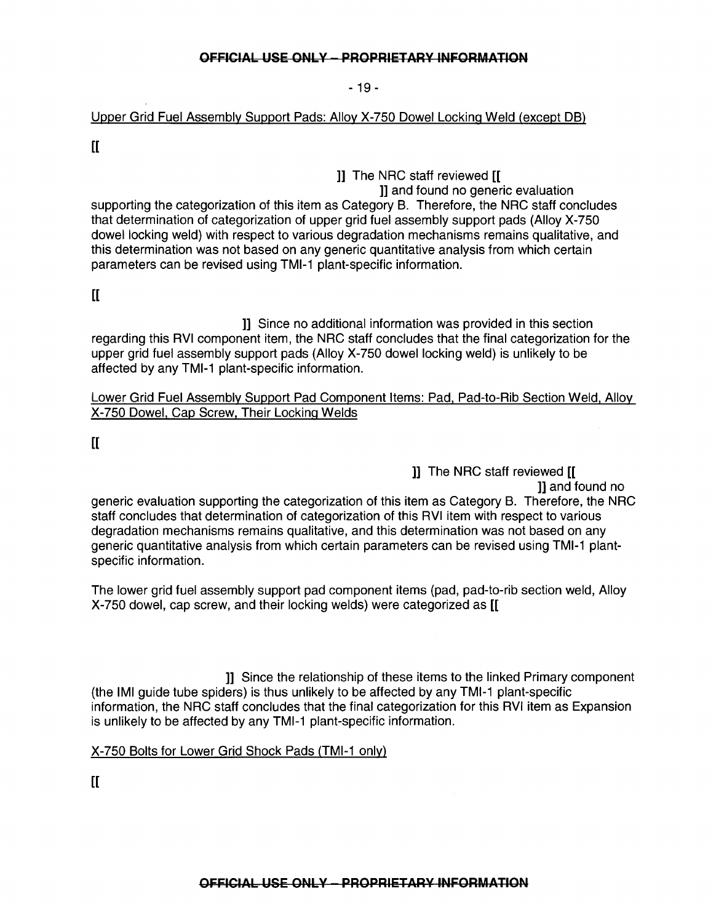- 19-

Upper Grid Fuel Assembly Support Pads: Alloy X-750 Dowel Locking Weld (except DB)

 $\mathbf{I}$ 

]] The NRC staff reviewed [[

]] and found no generic evaluation supporting the categorization of this item as Category B. Therefore, the NRC staff concludes that determination of categorization of upper grid fuel assembly support pads (Alloy X-750 dowel locking weld) with respect to various degradation mechanisms remains qualitative, and this determination was not based on any generic quantitative analysis from which certain parameters can be revised using TMI-1 plant-specific information.

 $[$ [[

]] Since no additional information was provided in this section regarding this RVI component item, the NRC staff concludes that the final categorization for the upper grid fuel assembly support pads (Alloy X-750 dowel locking weld) is unlikely to be affected by any TMI-1 plant-specific information.

Lower Grid Fuel Assembly Support Pad Component Items: Pad, Pad-to-Rib Section Weld, Alloy X-750 Dowel, Cap Screw, Their Locking Welds

 $\mathbb{I}$ 

]] The NRC staff reviewed [[ ]] and found no generic evaluation supporting the categorization of this item as Category B. Therefore, the NRC staff concludes that determination of categorization of this RVI item with respect to various degradation mechanisms remains qualitative, and this determination was not based on any generic quantitative analysis from which certain parameters can be revised using TMI-1 plantspecific information.

The lower grid fuel assembly support pad component items (pad, pad-to-rib section weld, Alloy X-750 dowel, cap screw, and their locking welds) were categorized as [[

]] Since the relationship of these items to the linked Primary component (the IMI guide tube spiders) is thus unlikely to be affected by any TMI-1 plant-specific information, the NRC staff concludes that the final categorization for this RVI item as Expansion is unlikely to be affected by any TMI-1 plant-specific information.

X-750 Bolts for Lower Grid Shock Pads (TMI-1 only)

 $\prod$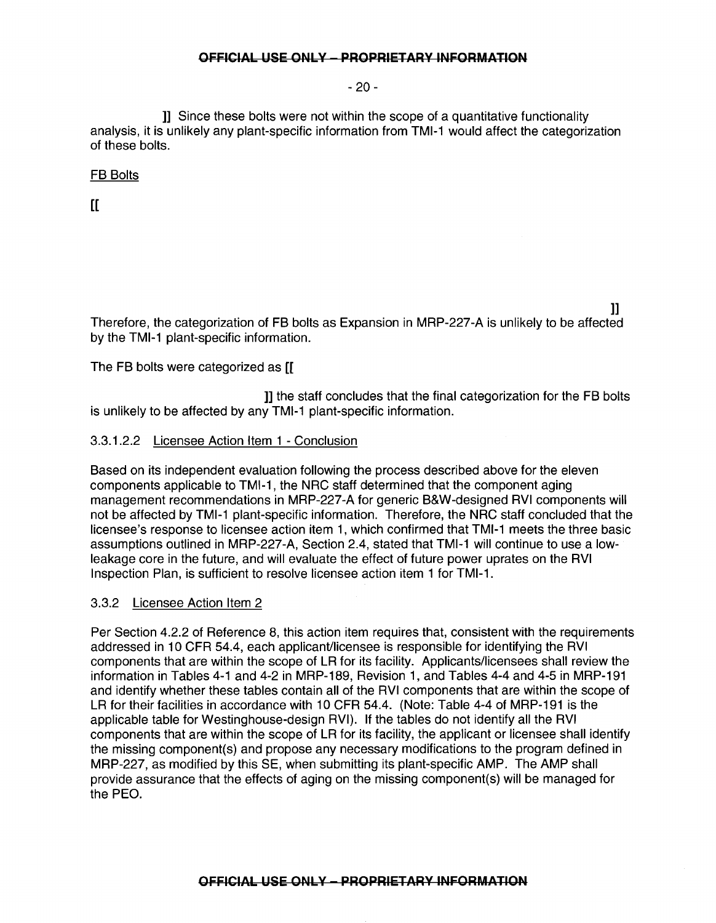-20-

**<sup>11</sup>**Since these bolts were not within the scope of a quantitative functionality analysis, it is unlikely any plant-specific information from TMI-1 would affect the categorization of these bolts.

# FB Bolts

 $\overline{a}$ 

**11**  Therefore, the categorization of FB bolts as Expansion in MRP-227-A is unlikely to be affected by the TMI-1 plant-specific information.

The FB bolts were categorized as [[

]] the staff concludes that the final categorization for the FB bolts is unlikely to be affected by any TMI-1 plant-specific information.

# 3.3.1.2.2 Licensee Action Item 1 - Conclusion

Based on its independent evaluation following the process described above for the eleven components applicable to TMI-1, the NRC staff determined that the component aging management recommendations in MRP-227-A for generic B&W-designed RVI components will not be affected by TMI-1 plant-specific information. Therefore, the NRC staff concluded that the licensee's response to licensee action item 1, which confirmed that TMI-1 meets the three basic assumptions outlined in MRP-227-A, Section 2.4, stated that TMI-1 will continue to use a lowleakage core in the future, and will evaluate the effect of future power uprates on the RVI Inspection Plan, is sufficient to resolve licensee action item 1 for TMI-1.

# 3.3.2 Licensee Action Item 2

Per Section 4.2.2 of Reference 8, this action item requires that, consistent with the requirements addressed in 10 CFR 54.4, each applicant/licensee is responsible for identifying the RVI components that are within the scope of LR for its facility. Applicants/licensees shall review the information in Tables 4-1 and 4-2 in MRP-189, Revision 1, and Tables 4-4 and 4-5 in MRP-191 and identify whether these tables contain all of the RVI components that are within the scope of LR for their facilities in accordance with 10 CFR 54.4. (Note: Table 4-4 of MRP-191 is the applicable table for Westinghouse-design RVI). If the tables do not identify all the RVI components that are within the scope of LR for its facility, the applicant or licensee shall identify the missing component(s) and propose any necessary modifications to the program defined in MRP-227, as modified by this SE, when submitting its plant-specific AMP. The AMP shall provide assurance that the effects of aging on the missing component(s) will be managed for the PEO.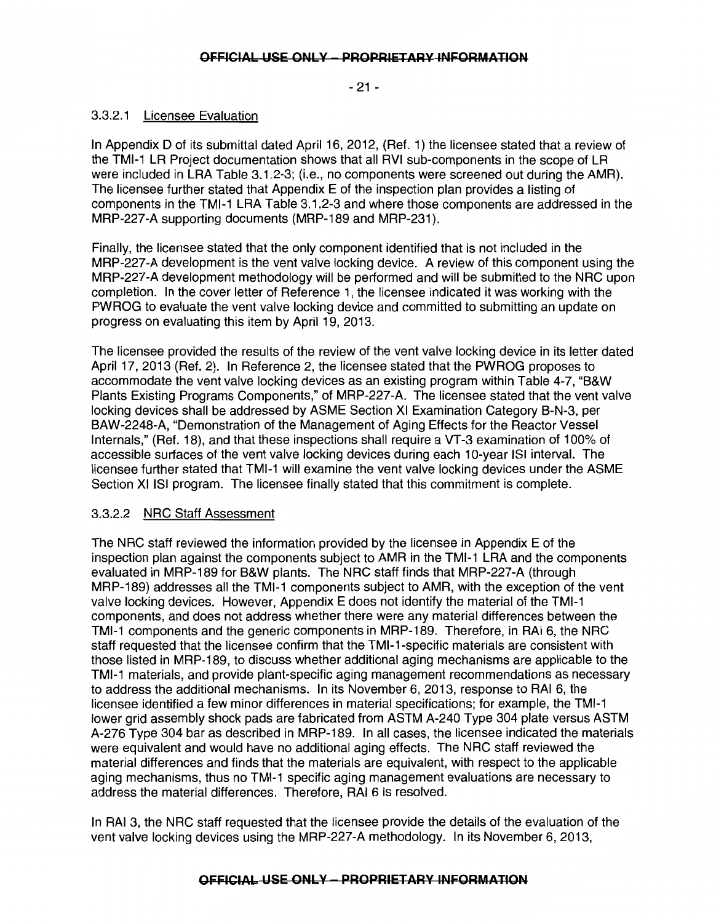$-21 -$ 

## 3.3.2.1 Licensee Evaluation

In Appendix D of its submittal dated April 16, 2012, (Ref. 1) the licensee stated that a review of the TMI-1 LR Project documentation shows that all RVI sub-components in the scope of LR were included in LRA Table 3.1.2-3; (i.e., no components were screened out during the AMR). The licensee further stated that Appendix E of the inspection plan provides a listing of components in the TMI-1 LRA Table 3.1.2-3 and where those components are addressed in the MRP-227-A supporting documents (MRP-189 and MRP-231).

Finally, the licensee stated that the only component identified that is not included in the MRP-227-A development is the vent valve locking device. A review of this component using the MRP-227-A development methodology will be performed and will be submitted to the NRC upon completion. In the cover letter of Reference 1, the licensee indicated it was working with the PWROG to evaluate the vent valve locking device and committed to submitting an update on progress on evaluating this item by April 19, 2013.

The licensee provided the results of the review of the vent valve locking device in its letter dated April 17, 2013 (Ref. 2). In Reference 2, the licensee stated that the PWROG proposes to accommodate the vent valve locking devices as an existing program within Table 4-7, "B&W Plants Existing Programs Components," of MRP-227-A. The licensee stated that the vent valve locking devices shall be addressed by ASME Section XI Examination Category B-N-3, per BAW-2248-A, "Demonstration of the Management of Aging Effects for the Reactor Vessel Internals," (Ref. 18), and that these inspections shall require a VT-3 examination of 100% of accessible surfaces of the vent valve locking devices during each 1 0-year lSI interval. The licensee further stated that TMI-1 will examine the vent valve locking devices under the ASME Section XI lSI program. The licensee finally stated that this commitment is complete.

# 3.3.2.2 NRC Staff Assessment

The NRC staff reviewed the information provided by the licensee in Appendix E of the inspection plan against the components subject to AMR in the TMI-1 LRA and the components evaluated in MRP-189 for B&W plants. The NRC staff finds that MRP-227-A (through MRP-189) addresses all the TMI-1 components subject to AMR, with the exception of the vent valve locking devices. However, Appendix E does not identify the material of the TMI-1 components, and does not address whether there were any material differences between the TMI-1 components and the generic components in MRP-189. Therefore, in RAI 6, the NRC staff requested that the licensee confirm that the TMI-1-specific materials are consistent with those listed in MRP-189, to discuss whether additional aging mechanisms are applicable to the TMI-1 materials, and provide plant-specific aging management recommendations as necessary to address the additional mechanisms. In its November 6, 2013, response to RAI 6, the licensee identified a few minor differences in material specifications; for example, the TMI-1 lower grid assembly shock pads are fabricated from ASTM A-240 Type 304 plate versus ASTM A-276 Type 304 bar as described in MRP-189. In all cases, the licensee indicated the materials were equivalent and would have no additional aging effects. The NRC staff reviewed the material differences and finds that the materials are equivalent, with respect to the applicable aging mechanisms, thus no TMI-1 specific aging management evaluations are necessary to address the material differences. Therefore, RAI 6 is resolved.

In RAI 3, the NRC staff requested that the licensee provide the details of the evaluation of the vent valve locking devices using the MRP-227-A methodology. In its November 6, 2013,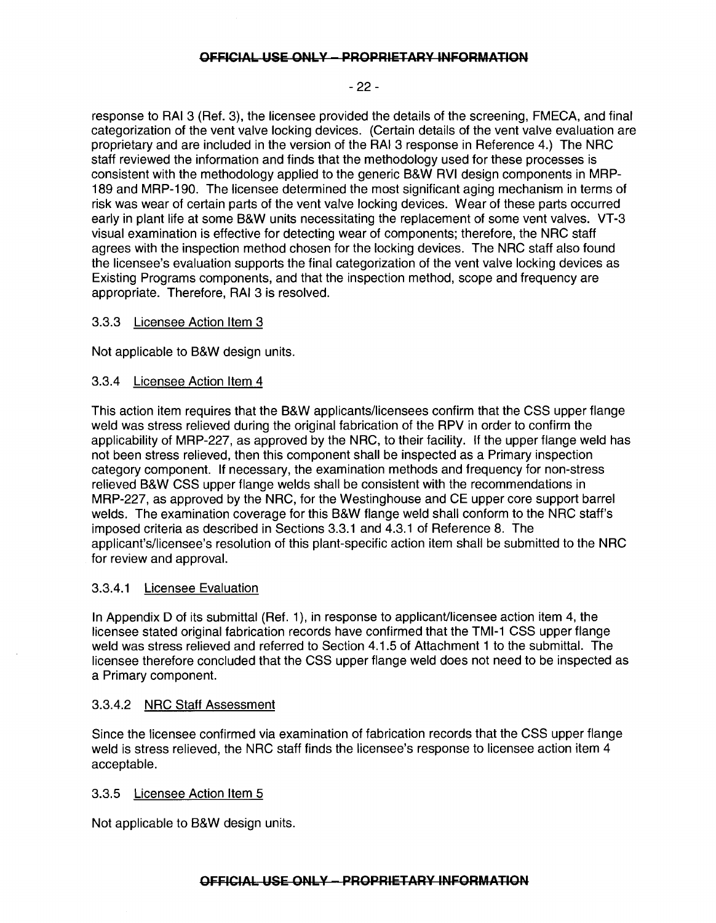#### -22-

response to RAI 3 (Ref. 3), the licensee provided the details of the screening, FMECA, and final categorization of the vent valve locking devices. (Certain details of the vent valve evaluation are proprietary and are included in the version of the RAI 3 response in Reference 4.) The NRC staff reviewed the information and finds that the methodology used for these processes is consistent with the methodology applied to the generic B&W RVI design components in MRP-189 and MRP-190. The licensee determined the most significant aging mechanism in terms of risk was wear of certain parts of the vent valve locking devices. Wear of these parts occurred early in plant life at some B&W units necessitating the replacement of some vent valves. VT-3 visual examination is effective for detecting wear of components; therefore, the NRC staff agrees with the inspection method chosen for the locking devices. The NRC staff also found the licensee's evaluation supports the final categorization of the vent valve locking devices as Existing Programs components, and that the inspection method, scope and frequency are appropriate. Therefore, RAI 3 is resolved.

### 3.3.3 Licensee Action Item 3

Not applicable to B&W design units.

### 3.3.4 Licensee Action Item 4

This action item requires that the B&W applicants/licensees confirm that the CSS upper flange weld was stress relieved during the original fabrication of the RPV in order to confirm the applicability of MRP-227, as approved by the NRC, to their facility. If the upper flange weld has not been stress relieved, then this component shall be inspected as a Primary inspection category component. If necessary, the examination methods and frequency for non-stress relieved B&W CSS upper flange welds shall be consistent with the recommendations in MRP-227, as approved by the NRC, for the Westinghouse and CE upper core support barrel welds. The examination coverage for this B&W flange weld shall conform to the NRC staff's imposed criteria as described in Sections 3.3.1 and 4.3.1 of Reference 8. The applicant's/licensee's resolution of this plant-specific action item shall be submitted to the NRC for review and approval.

## 3.3.4.1 Licensee Evaluation

In Appendix D of its submittal (Ref. 1), in response to applicant/licensee action item 4, the licensee stated original fabrication records have confirmed that the TMI-1 CSS upper flange weld was stress relieved and referred to Section 4.1.5 of Attachment 1 to the submittal. The licensee therefore concluded that the CSS upper flange weld does not need to be inspected as a Primary component.

#### 3.3.4.2 NRC Staff Assessment

Since the licensee confirmed via examination of fabrication records that the CSS upper flange weld is stress relieved, the NRC staff finds the licensee's response to licensee action item 4 acceptable.

#### 3.3.5 Licensee Action Item 5

Not applicable to B&W design units.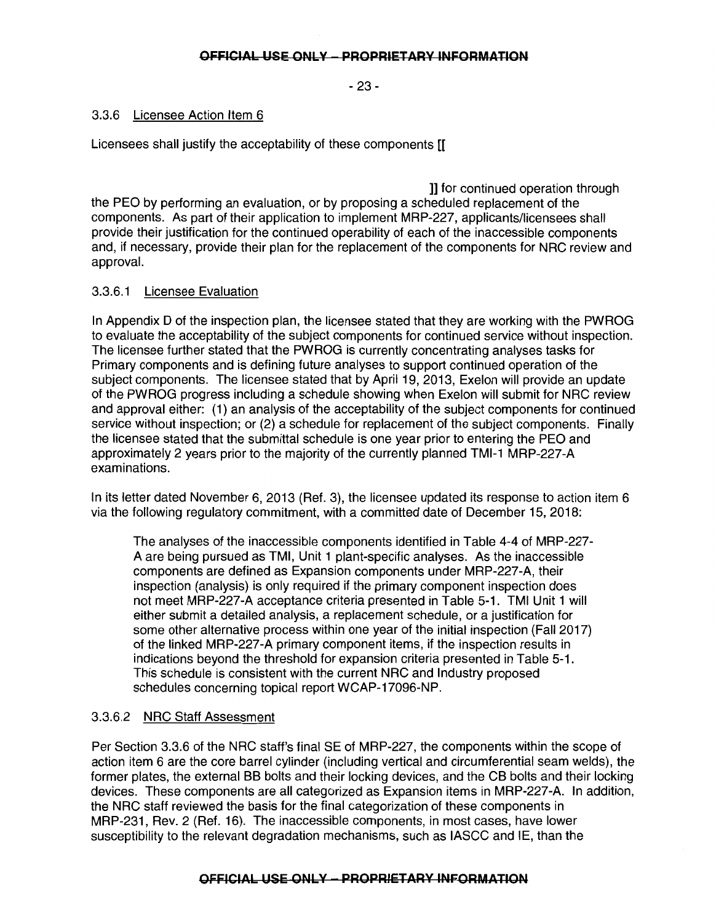-23-

## 3.3.6 Licensee Action Item 6

Licensees shall justify the acceptability of these components [[

]] for continued operation through the PEO by performing an evaluation, or by proposing a scheduled replacement of the components. As part of their application to implement MRP-227, applicants/licensees shall provide their justification for the continued operability of each of the inaccessible components and, if necessary, provide their plan for the replacement of the components for NRC review and approval.

## 3.3.6.1 Licensee Evaluation

In Appendix D of the inspection plan, the licensee stated that they are working with the PWROG to evaluate the acceptability of the subject components for continued service without inspection. The licensee further stated that the PWROG is currently concentrating analyses tasks for Primary components and is defining future analyses to support continued operation of the subject components. The licensee stated that by April 19, 2013, Exelon will provide an update of the PWROG progress including a schedule showing when Exelon will submit for NRC review and approval either: (1) an analysis of the acceptability of the subject components for continued service without inspection; or (2) a schedule for replacement of the subject components. Finally the licensee stated that the submittal schedule is one year prior to entering the PEO and approximately 2 years prior to the majority of the currently planned TMI-1 MRP-227-A examinations.

In its letter dated November 6, 2013 (Ref. 3), the licensee updated its response to action item 6 via the following regulatory commitment, with a committed date of December 15, 2018:

The analyses of the inaccessible components identified in Table 4-4 of MRP-227- A are being pursued as TMI, Unit 1 plant-specific analyses. As the inaccessible components are defined as Expansion components under MRP-227-A, their inspection (analysis) is only required if the primary component inspection does not meet MRP-227-A acceptance criteria presented in Table 5-1. TMI Unit 1 will either submit a detailed analysis, a replacement schedule, or a justification for some other alternative process within one year of the initial inspection (Fall 2017) of the linked MRP-227-A primary component items, if the inspection results in indications beyond the threshold for expansion criteria presented in Table 5-1. This schedule is consistent with the current NRC and Industry proposed schedules concerning topical report WCAP-17096-NP.

# 3.3.6.2 NRC Staff Assessment

Per Section 3.3.6 of the NRC staff's final SE of MRP-227, the components within the scope of action item 6 are the core barrel cylinder (including vertical and circumferential seam welds), the former plates, the external BB bolts and their locking devices, and the CB bolts and their locking devices. These components are all categorized as Expansion items in MRP-227-A. In addition, the NRC staff reviewed the basis for the final categorization of these components in MRP-231, Rev. 2 (Ref. 16). The inaccessible components, in most cases, have lower susceptibility to the relevant degradation mechanisms, such as IASCC and IE, than the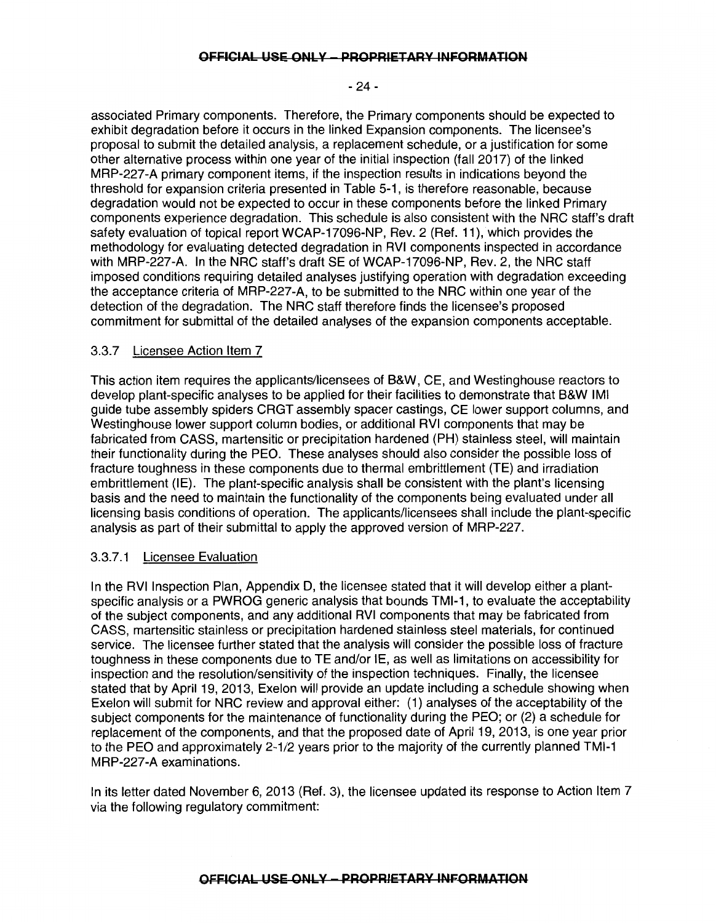### -24-

associated Primary components. Therefore, the Primary components should be expected to exhibit degradation before it occurs in the linked Expansion components. The licensee's proposal to submit the detailed analysis, a replacement schedule, or a justification for some other alternative process within one year of the initial inspection (fall 2017) of the linked MRP-227-A primary component items, if the inspection results in indications beyond the threshold for expansion criteria presented in Table 5-1, is therefore reasonable, because degradation would not be expected to occur in these components before the linked Primary components experience degradation. This schedule is also consistent with the NRC staff's draft safety evaluation of topical report WCAP-17096-NP, Rev. 2 (Ref. 11), which provides the methodology for evaluating detected degradation in RVI components inspected in accordance with MRP-227-A. In the NRC staff's draft SE of WCAP-17096-NP, Rev. 2, the NRC staff imposed conditions requiring detailed analyses justifying operation with degradation exceeding the acceptance criteria of MRP-227-A, to be submitted to the NRC within one year of the detection of the degradation. The NRC staff therefore finds the licensee's proposed commitment for submittal of the detailed analyses of the expansion components acceptable.

# 3.3. 7 Licensee Action Item 7

This action item requires the applicants/licensees of B&W, CE, and Westinghouse reactors to develop plant-specific analyses to be applied for their facilities to demonstrate that B&W IMI guide tube assembly spiders CRGT assembly spacer castings, CE lower support columns, and Westinghouse lower support column bodies, or additional RVI components that may be fabricated from CASS, martensitic or precipitation hardened (PH) stainless steel, will maintain their functionality during the PEO. These analyses should also consider the possible loss of fracture toughness in these components due to thermal embrittlement (TE) and irradiation embrittlement (IE). The plant-specific analysis shall be consistent with the plant's licensing basis and the need to maintain the functionality of the components being evaluated under all licensing basis conditions of operation. The applicants/licensees shall include the plant-specific analysis as part of their submittal to apply the approved version of MRP-227.

# 3.3.7.1 Licensee Evaluation

In the RVI Inspection Plan, Appendix D, the licensee stated that it will develop either a plantspecific analysis or a PWROG generic analysis that bounds TMI-1, to evaluate the acceptability of the subject components, and any additional RVI components that may be fabricated from CASS, martensitic stainless or precipitation hardened stainless steel materials, for continued service. The licensee further stated that the analysis will consider the possible loss of fracture toughness in these components due to TE and/or IE, as well as limitations on accessibility for inspection and the resolution/sensitivity of the inspection techniques. Finally, the licensee stated that by April 19, 2013, Exelon will provide an update including a schedule showing when Exelon will submit for NRC review and approval either: (1) analyses of the acceptability of the subject components for the maintenance of functionality during the PEO; or (2) a schedule for replacement of the components, and that the proposed date of April 19, 2013, is one year prior to the PEO and approximately 2-1/2 years prior to the majority of the currently planned TMI-1 MRP-227-A examinations.

In its letter dated November 6, 2013 (Ref. 3), the licensee updated its response to Action Item 7 via the following regulatory commitment: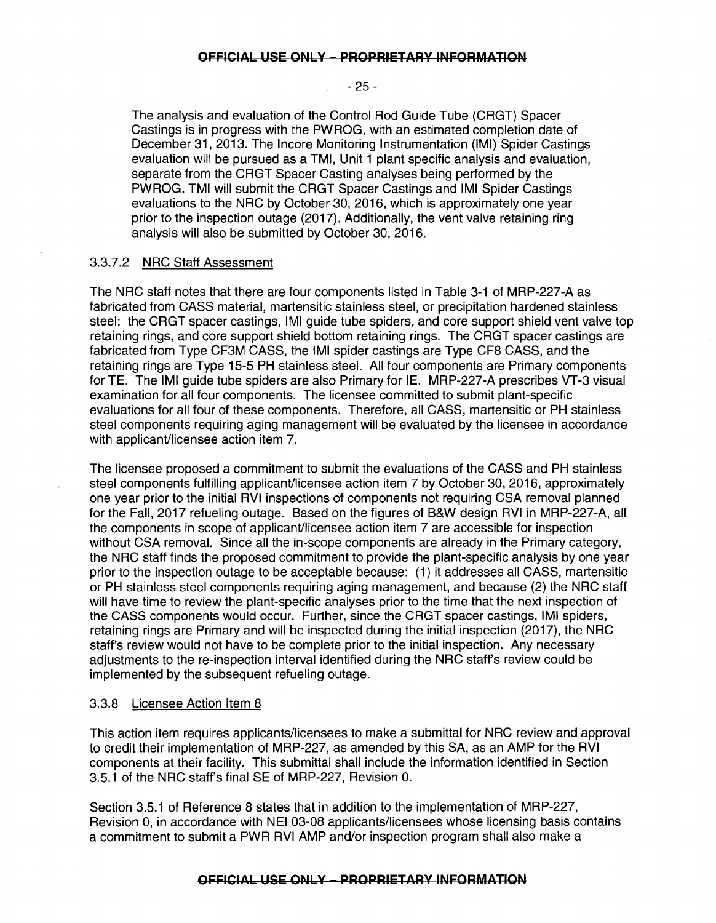- 25-

 $\mathcal{L}_{\rm{max}}$ 

The analysis and evaluation of the Control Rod Guide Tube (CRGT) Spacer Castings is in progress with the PWROG, with an estimated completion date of December 31, 2013. The Incore Monitoring Instrumentation (IMI) Spider Castings evaluation will be pursued as a TMI, Unit 1 plant specific analysis and evaluation, separate from the CRGT Spacer Casting analyses being performed by the PWROG. TMI will submit the CRGT Spacer Castings and IMI Spider Castings evaluations to the NRC by October 30, 2016, which is approximately one year prior to the inspection outage (2017). Additionally, the vent valve retaining ring analysis will also be submitted by October 30, 2016.

## 3.3.7.2 NRC Staff Assessment

The NRC staff notes that there are four components listed in Table 3-1 of MRP-227-A as fabricated from CASS material, martensitic stainless steel, or precipitation hardened stainless steel: the CRGT spacer castings, IMI guide tube spiders, and core support shield vent valve top retaining rings, and core support shield bottom retaining rings. The CRGT spacer castings are fabricated from Type CF3M CASS, the IMI spider castings are Type CF8 CASS, and the retaining rings are Type 15-5 PH stainless steel. All four components are Primary components forTE. The IMI guide tube spiders are also Primary for IE. MRP-227-A prescribes VT-3 visual examination for all four components. The licensee committed to submit plant-specific evaluations for all four of these components. Therefore, all CASS, martensitic or PH stainless steel components requiring aging management will be evaluated by the licensee in accordance with applicant/licensee action item 7.

The licensee proposed a commitment to submit the evaluations of the CASS and PH stainless steel components fulfilling applicant/licensee action item 7 by October 30, 2016, approximately one year prior to the initial RVI inspections of components not requiring CSA removal planned for the Fall, 2017 refueling outage. Based on the figures of B&W design RVI in MRP-227-A, all the components in scope of applicant/licensee action item 7 are accessible for inspection without CSA removal. Since all the in-scope components are already in the Primary category, the NRC staff finds the proposed commitment to provide the plant-specific analysis by one year prior to the inspection outage to be acceptable because: (1) it addresses all CASS, martensitic or PH stainless steel components requiring aging management, and because (2) the NRC staff will have time to review the plant-specific analyses prior to the time that the next inspection of the CASS components would occur. Further, since the CRGT spacer castings, IMI spiders, retaining rings are Primary and will be inspected during the initial inspection (2017), the NRC staff's review would not have to be complete prior to the initial inspection. Any necessary adjustments to the re-inspection interval identified during the NRC staff's review could be implemented by the subsequent refueling outage.

#### 3.3.8 Licensee Action Item 8

This action item requires applicants/licensees to make a submittal for NRC review and approval to credit their implementation of MRP-227, as amended by this SA, as an AMP for the RVI components at their facility. This submittal shall include the information identified in Section 3.5.1 of the NRC staff's final SE of MRP-227, Revision 0.

Section 3.5.1 of Reference 8 states that in addition to the implementation of MRP-227, Revision 0, in accordance with NEI 03-08 applicants/licensees whose licensing basis contains a commitment to submit a PWR RVI AMP and/or inspection program shall also make a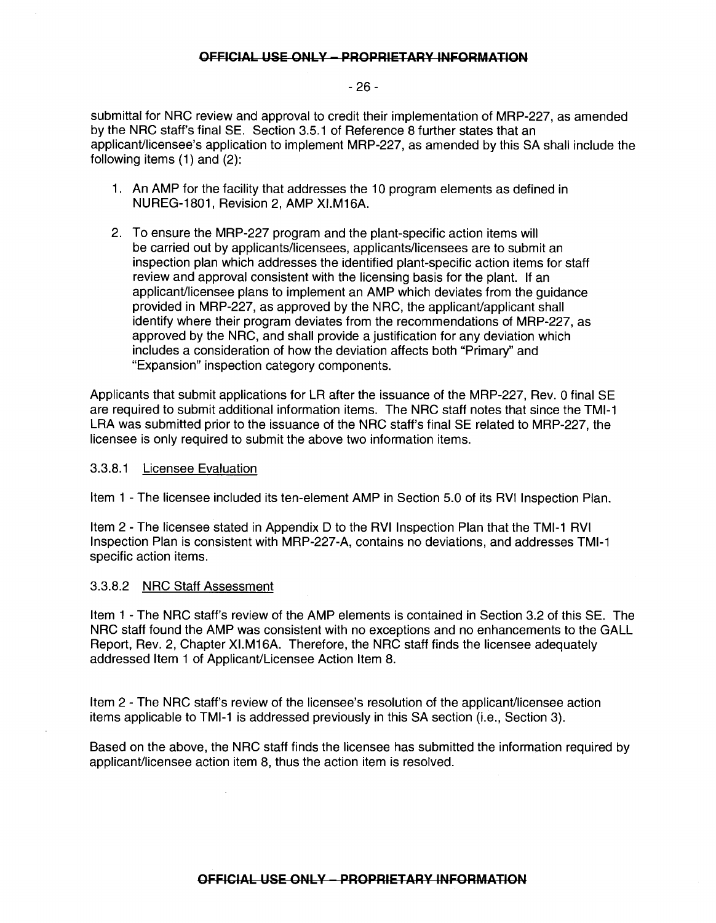#### -26-

submittal for NRC review and approval to credit their implementation of MRP-227, as amended by the NRC staff's final SE. Section 3.5.1 of Reference 8 further states that an applicant/licensee's application to implement MRP-227, as amended by this SA shall include the following items (1) and (2):

- 1. An AMP for the facility that addresses the 10 program elements as defined in NUREG-1801, Revision 2, AMP XI.M16A.
- 2. To ensure the MRP-227 program and the plant-specific action items will be carried out by applicants/licensees, applicants/licensees are to submit an inspection plan which addresses the identified plant-specific action items for staff review and approval consistent with the licensing basis for the plant. If an applicant/licensee plans to implement an AMP which deviates from the guidance provided in MRP-227, as approved by the NRC, the applicant/applicant shall identify where their program deviates from the recommendations of MRP-227, as approved by the NRC, and shall provide a justification for any deviation which includes a consideration of how the deviation affects both "Primary" and "Expansion" inspection category components.

Applicants that submit applications for LR after the issuance of the MRP-227, Rev. 0 final SE are required to submit additional information items. The NRC staff notes that since the TMI-1 LRA was submitted prior to the issuance of the NRC staff's final SE related to MRP-227, the licensee is only required to submit the above two information items.

#### 3.3.8.1 Licensee Evaluation

Item 1 - The licensee included its ten-element AMP in Section 5.0 of its RVI Inspection Plan.

Item 2- The licensee stated in Appendix D to the RVI Inspection Plan that the TMI-1 RVI Inspection Plan is consistent with MRP-227-A, contains no deviations, and addresses TMI-1 specific action items.

#### 3.3.8.2 NRC Staff Assessment

Item 1 -The NRC staff's review of the AMP elements is contained in Section 3.2 of this SE. The NRC staff found the AMP was consistent with no exceptions and no enhancements to the GALL Report, Rev. 2, Chapter XI.M16A. Therefore, the NRC staff finds the licensee adequately addressed Item 1 of Applicant/Licensee Action Item 8.

Item 2- The NRC staff's review of the licensee's resolution of the applicant/licensee action items applicable to TMI-1 is addressed previously in this SA section (i.e., Section 3).

Based on the above, the NRC staff finds the licensee has submitted the information required by applicant/licensee action item 8, thus the action item is resolved.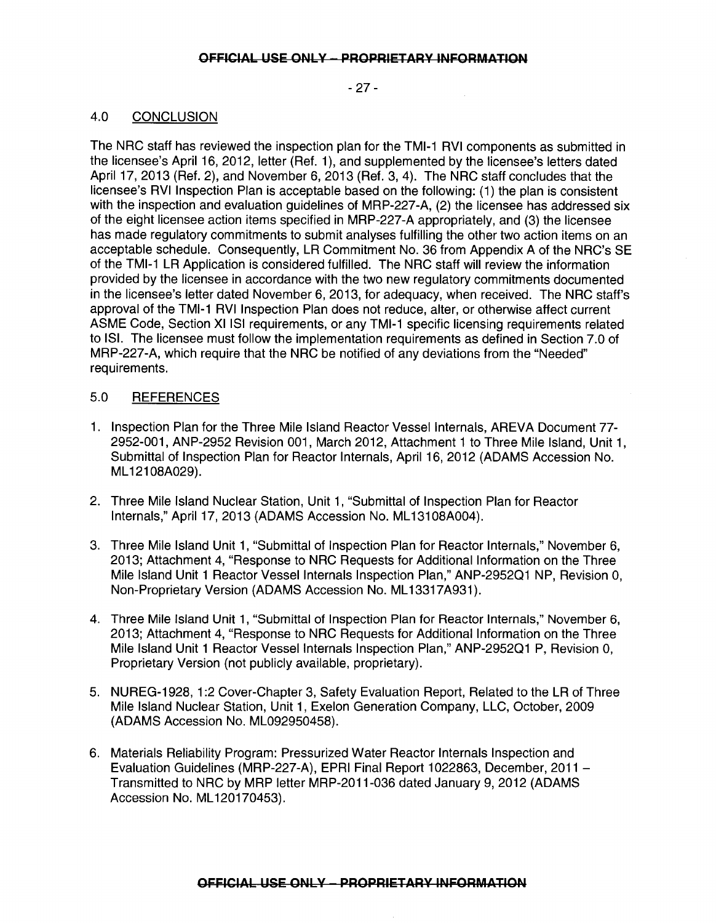### -27-

## 4.0 CONCLUSION

The NRC staff has reviewed the inspection plan for the TMI-1 RVI components as submitted in the licensee's April 16, 2012, letter (Ref. 1 ), and supplemented by the licensee's letters dated April 17, 2013 (Ref. 2), and November 6, 2013 (Ref. 3, 4). The NRC staff concludes that the licensee's RVI Inspection Plan is acceptable based on the following: (1) the plan is consistent with the inspection and evaluation guidelines of MRP-227-A, (2) the licensee has addressed six of the eight licensee action items specified in MRP-227-A appropriately, and (3) the licensee has made regulatory commitments to submit analyses fulfilling the other two action items on an acceptable schedule. Consequently, LR Commitment No. 36 from Appendix A of the NRC's SE of the TMI-1 LR Application is considered fulfilled. The NRC staff will review the information provided by the licensee in accordance with the two new regulatory commitments documented in the licensee's letter dated November 6, 2013, for adequacy, when received. The NRC staff's approval of the TMI-1 RVI Inspection Plan does not reduce, alter, or otherwise affect current ASME Code, Section XI lSI requirements, or any TMI-1 specific licensing requirements related to lSI. The licensee must follow the implementation requirements as defined in Section 7.0 of MRP-227-A, which require that the NRC be notified of any deviations from the "Needed" requirements.

## 5.0 REFERENCES

- 1. Inspection Plan for the Three Mile Island Reactor Vessel Internals, AREVA Document 77- 2952-001, ANP-2952 Revision 001, March 2012, Attachment 1 to Three Mile Island, Unit 1, Submittal of Inspection Plan for Reactor Internals, April 16, 2012 (ADAMS Accession No. ML 121 08A029).
- 2. Three Mile Island Nuclear Station, Unit 1, "Submittal of Inspection Plan for Reactor Internals," April 17, 2013 (ADAMS Accession No. ML13108A004).
- 3. Three Mile Island Unit 1, "Submittal of Inspection Plan for Reactor Internals," November 6, 2013; Attachment 4, "Response to NRC Requests for Additional Information on the Three Mile Island Unit 1 Reactor Vessel Internals Inspection Plan," ANP-295201 NP, Revision 0, Non-Proprietary Version (ADAMS Accession No. ML13317A931).
- 4. Three Mile Island Unit 1, "Submittal of Inspection Plan for Reactor Internals," November 6, 2013; Attachment 4, "Response to NRC Requests for Additional Information on the Three Mile Island Unit 1 Reactor Vessel Internals Inspection Plan," ANP-295201 P, Revision 0, Proprietary Version (not publicly available, proprietary).
- 5. NUREG-1928, 1:2 Cover-Chapter 3, Safety Evaluation Report, Related to the LR of Three Mile Island Nuclear Station, Unit 1, Exelon Generation Company, LLC, October, 2009 (ADAMS Accession No. ML092950458).
- 6. Materials Reliability Program: Pressurized Water Reactor Internals Inspection and Evaluation Guidelines (MRP-227-A), EPRI Final Report 1022863, December, 2011- Transmitted to NRC by MRP letter MRP-2011-036 dated January 9, 2012 (ADAMS Accession No. ML 120170453).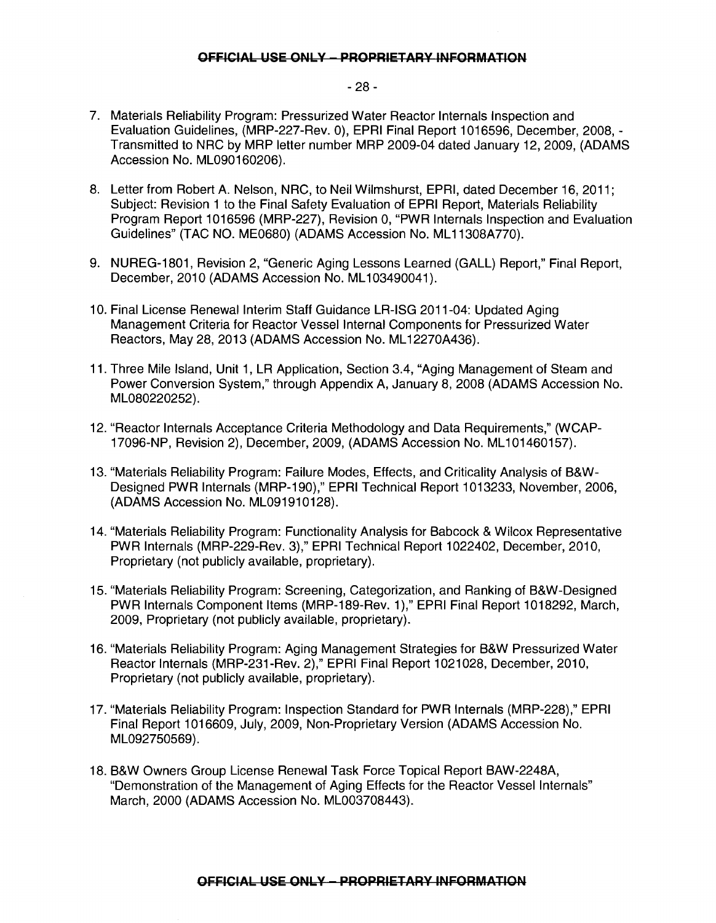#### -28-

- 7. Materials Reliability Program: Pressurized Water Reactor Internals Inspection and Evaluation Guidelines, (MRP-227-Rev. 0), EPRI Final Report 1016596, December, 2008, - Transmitted to NRC by MAP letter number MAP 2009-04 dated January 12, 2009, (ADAMS Accession No. ML090160206).
- 8. Letter from Robert A. Nelson, NRC, to Neil Wilmshurst, EPRI, dated December 16, 2011; Subject: Revision 1 to the Final Safety Evaluation of EPRI Report, Materials Reliability Program Report 1016596 (MRP-227), Revision 0, "PWR Internals Inspection and Evaluation Guidelines" (TAC NO. ME0680) (ADAMS Accession No. ML11308A770).
- 9. NUREG-1801, Revision 2, "Generic Aging Lessons Learned (GALL) Report," Final Report, December, 2010 (ADAMS Accession No. ML103490041).
- 10. Final License Renewal Interim Staff Guidance LR-ISG 2011-04: Updated Aging Management Criteria for Reactor Vessel Internal Components for Pressurized Water Reactors, May 28, 2013 (ADAMS Accession No. ML12270A436).
- 11. Three Mile Island, Unit 1, LR Application, Section 3.4, "Aging Management of Steam and Power Conversion System," through Appendix A, January 8, 2008 (ADAMS Accession No. ML080220252).
- 12. "Reactor Internals Acceptance Criteria Methodology and Data Requirements," (WCAP-17096-NP, Revision 2), December, 2009, (ADAMS Accession No. ML101460157).
- 13. "Materials Reliability Program: Failure Modes, Effects, and Criticality Analysis of B&W-Designed PWR Internals (MRP-190)," EPRI Technical Report 1013233, November, 2006, (ADAMS Accession No. ML091910128).
- 14. "Materials Reliability Program: Functionality Analysis for Babcock & Wilcox Representative PWR Internals (MRP-229-Rev. 3)," EPRI Technical Report 1022402, December, 2010, Proprietary (not publicly available, proprietary).
- 15. "Materials Reliability Program: Screening, Categorization, and Ranking of B&W-Designed PWR Internals Component Items (MRP-189-Rev. 1)," EPRI Final Report 1018292, March, 2009, Proprietary (not publicly available, proprietary).
- 16. "Materials Reliability Program: Aging Management Strategies for B&W Pressurized Water Reactor Internals (MRP-231-Rev. 2)," EPRI Final Report 1021028, December, 2010, Proprietary (not publicly available, proprietary).
- 17. "Materials Reliability Program: Inspection Standard for PWR Internals (MRP-228)," EPRI Final Report 1016609, July, 2009, Non-Proprietary Version (ADAMS Accession No. ML092750569).
- 18. B&W Owners Group License Renewal Task Force Topical Report BAW-2248A, "Demonstration of the Management of Aging Effects for the Reactor Vessel Internals" March, 2000 (ADAMS Accession No. ML003708443).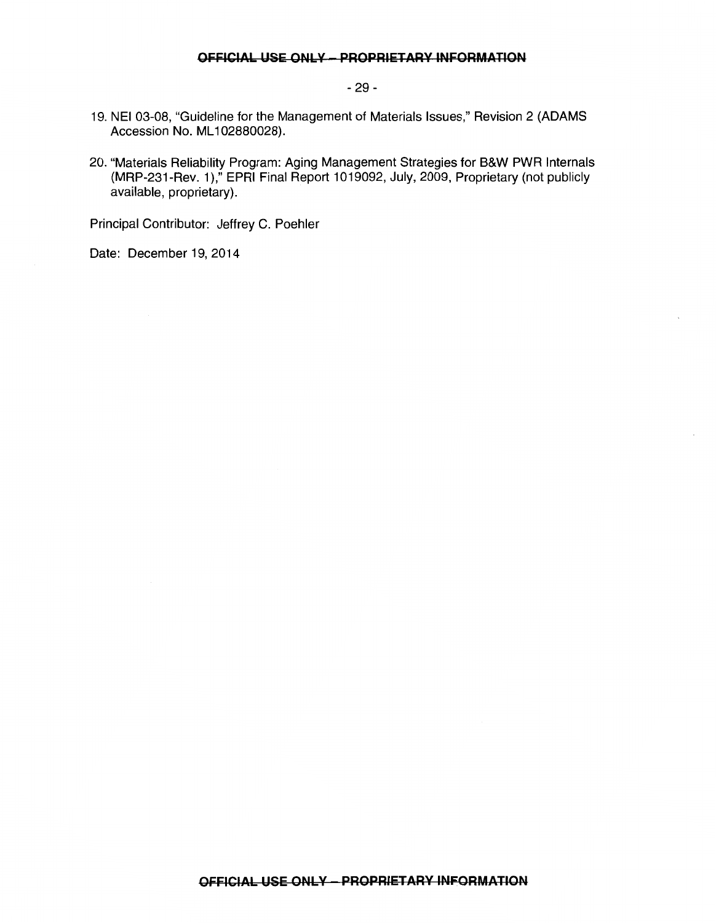## -29-

- 19. NEI 03-08, "Guideline for the Management of Materials Issues," Revision 2 (ADAMS Accession No. ML102880028).
- 20. "Materials Reliability Program: Aging Management Strategies for B&W PWR Internals (MRP-231-Rev. 1)," EPRI Final Report 1019092, July, 2009, Proprietary (not publicly available, proprietary).

Principal Contributor: Jeffrey C. Poehler

Date: December 19, 2014